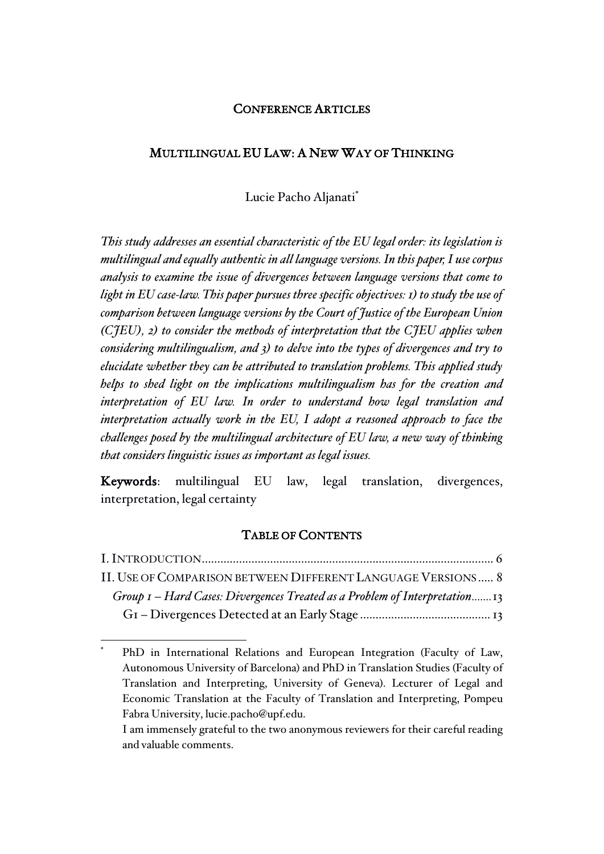#### CONFERENCE ARTICLES

### MULTILINGUAL EU LAW: A NEW WAY OF THINKING

Lucie Pacho Aljanati<sup>\*</sup>

*This study addresses an essential characteristic of the EU legal order: its legislation is multilingual and equally authentic in all language versions. In this paper, I use corpus analysis to examine the issue of divergences between language versions that come to light in EU case-law. This paper pursues three specific objectives: 1) to study the use of comparison between language versions by the Court of Justice of the European Union (CJEU), 2) to consider the methods of interpretation that the CJEU applies when considering multilingualism, and 3) to delve into the types of divergences and try to elucidate whether they can be attributed to translation problems. This applied study helps to shed light on the implications multilingualism has for the creation and interpretation of EU law. In order to understand how legal translation and interpretation actually work in the EU, I adopt a reasoned approach to face the challenges posed by the multilingual architecture of EU law, a new way of thinking that considers linguistic issues as important as legal issues.*

Keywords: multilingual EU law, legal translation, divergences, interpretation, legal certainty

#### TABLE OF CONTENTS

| II. USE OF COMPARISON BETWEEN DIFFERENT LANGUAGE VERSIONS 8                |  |
|----------------------------------------------------------------------------|--|
| Group 1 – Hard Cases: Divergences Treated as a Problem of Interpretation13 |  |
|                                                                            |  |

PhD in International Relations and European Integration (Faculty of Law, Autonomous University of Barcelona) and PhD in Translation Studies (Faculty of Translation and Interpreting, University of Geneva). Lecturer of Legal and Economic Translation at the Faculty of Translation and Interpreting, Pompeu Fabra University, lucie.pacho@upf.edu.

I am immensely grateful to the two anonymous reviewers for their careful reading and valuable comments.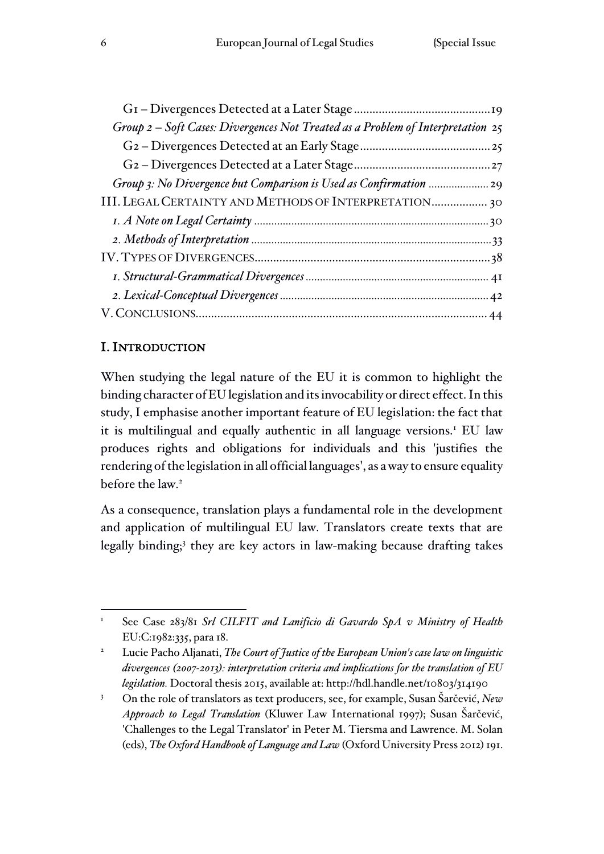| Group 2 – Soft Cases: Divergences Not Treated as a Problem of Interpretation 25 |
|---------------------------------------------------------------------------------|
|                                                                                 |
|                                                                                 |
| Group 3: No Divergence but Comparison is Used as Confirmation  29               |
| III. LEGAL CERTAINTY AND METHODS OF INTERPRETATION 30                           |
|                                                                                 |
|                                                                                 |
|                                                                                 |
|                                                                                 |
|                                                                                 |
|                                                                                 |
|                                                                                 |

# I. INTRODUCTION

When studying the legal nature of the EU it is common to highlight the binding character of EU legislation and its invocability or direct effect. In this study, I emphasise another important feature of EU legislation: the fact that it is multilingual and equally authentic in all language versions.<sup>1</sup> EU law produces rights and obligations for individuals and this 'justifies the rendering of the legislation in all official languages', as a way to ensure equality before the law.<sup>2</sup>

As a consequence, translation plays a fundamental role in the development and application of multilingual EU law. Translators create texts that are legally binding;<sup>3</sup> they are key actors in law-making because drafting takes

 $\overline{a}$ <sup>1</sup> See Case 283/81 Srl CILFIT and Lanificio di Gavardo SpA *v Ministry of Health* EU:C:1982:335, para 18.

<sup>2</sup> Lucie Pacho Aljanati, *The Court of Justice of the European Union's case law on linguistic divergences (2007-2013): interpretation criteria and implications for the translation of EU legislation.* Doctoral thesis 2015, available at: http://hdl.handle.net/10803/314190

<sup>3</sup> On the role of translators as text producers, see, for example, Susan Šarčević, *New Approach to Legal Translation* (Kluwer Law International 1997); Susan Šarčević, 'Challenges to the Legal Translator' in Peter M. Tiersma and Lawrence. M. Solan (eds), *The Oxford Handbook of Language and Law* (Oxford University Press 2012) 191.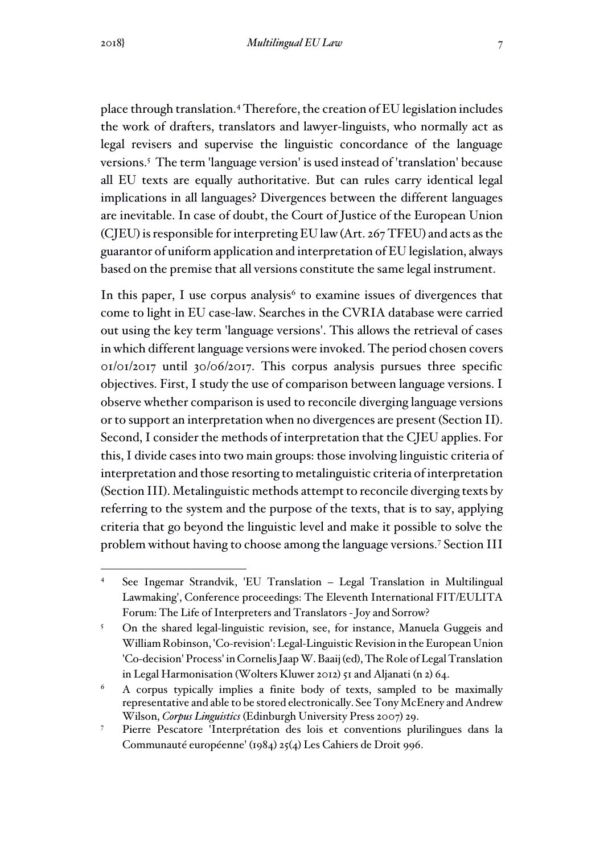$\overline{a}$ 

place through translation.<sup>4</sup> Therefore, the creation of EU legislation includes the work of drafters, translators and lawyer-linguists, who normally act as legal revisers and supervise the linguistic concordance of the language versions.<sup>5</sup> The term 'language version' is used instead of 'translation' because all EU texts are equally authoritative. But can rules carry identical legal implications in all languages? Divergences between the different languages are inevitable. In case of doubt, the Court of Justice of the European Union (CJEU) is responsible for interpreting EU law (Art. 267 TFEU) and acts as the guarantor of uniform application and interpretation of EU legislation, always based on the premise that all versions constitute the same legal instrument.

In this paper, I use corpus analysis<sup>6</sup> to examine issues of divergences that come to light in EU case-law. Searches in the CVRIA database were carried out using the key term 'language versions'. This allows the retrieval of cases in which different language versions were invoked. The period chosen covers 01/01/2017 until 30/06/2017. This corpus analysis pursues three specific objectives. First, I study the use of comparison between language versions. I observe whether comparison is used to reconcile diverging language versions or to support an interpretation when no divergences are present (Section II). Second, I consider the methods of interpretation that the CJEU applies. For this, I divide cases into two main groups: those involving linguistic criteria of interpretation and those resorting to metalinguistic criteria of interpretation (Section III). Metalinguistic methods attempt to reconcile diverging texts by referring to the system and the purpose of the texts, that is to say, applying criteria that go beyond the linguistic level and make it possible to solve the problem without having to choose among the language versions.<sup>7</sup> Section III

See Ingemar Strandvik, 'EU Translation - Legal Translation in Multilingual Lawmaking', Conference proceedings: The Eleventh International FIT/EULITA Forum: The Life of Interpreters and Translators - Joy and Sorrow?

<sup>5</sup> On the shared legal-linguistic revision, see, for instance, Manuela Guggeis and William Robinson, 'Co-revision': Legal-Linguistic Revision in the European Union 'Co-decision' Process' in Cornelis Jaap W. Baaij (ed), The Role of Legal Translation in Legal Harmonisation (Wolters Kluwer 2012) 51 and Aljanati (n 2) 64.

<sup>6</sup> A corpus typically implies a finite body of texts, sampled to be maximally representative and able to be stored electronically. See Tony McEnery and Andrew Wilson, *Corpus Linguistics* (Edinburgh University Press 2007) 29.

<sup>7</sup> Pierre Pescatore 'Interprétation des lois et conventions plurilingues dans la Communauté européenne' (1984) 25(4) Les Cahiers de Droit 996.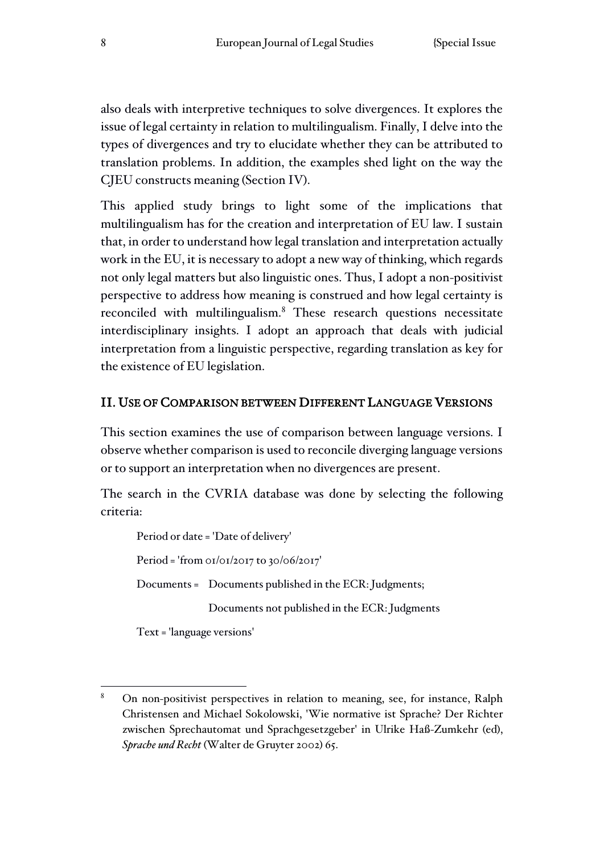also deals with interpretive techniques to solve divergences. It explores the issue of legal certainty in relation to multilingualism. Finally, I delve into the types of divergences and try to elucidate whether they can be attributed to translation problems. In addition, the examples shed light on the way the CJEU constructs meaning (Section IV).

This applied study brings to light some of the implications that multilingualism has for the creation and interpretation of EU law. I sustain that, in order to understand how legal translation and interpretation actually work in the EU, it is necessary to adopt a new way of thinking, which regards not only legal matters but also linguistic ones. Thus, I adopt a non-positivist perspective to address how meaning is construed and how legal certainty is reconciled with multilingualism.<sup>8</sup> These research questions necessitate interdisciplinary insights. I adopt an approach that deals with judicial interpretation from a linguistic perspective, regarding translation as key for the existence of EU legislation.

### II. USE OF COMPARISON BETWEEN DIFFERENT LANGUAGE VERSIONS

This section examines the use of comparison between language versions. I observe whether comparison is used to reconcile diverging language versions or to support an interpretation when no divergences are present.

The search in the CVRIA database was done by selecting the following criteria:

Period or date = 'Date of delivery' Period = 'from 01/01/2017 to 30/06/2017' Documents = Documents published in the ECR: Judgments; Documents not published in the ECR: Judgments

Text = 'language versions'

<sup>&</sup>lt;sup>8</sup> On non-positivist perspectives in relation to meaning, see, for instance, Ralph Christensen and Michael Sokolowski, 'Wie normative ist Sprache? Der Richter zwischen Sprechautomat und Sprachgesetzgeber' in Ulrike Haß-Zumkehr (ed), *Sprache und Recht* (Walter de Gruyter 2002) 65.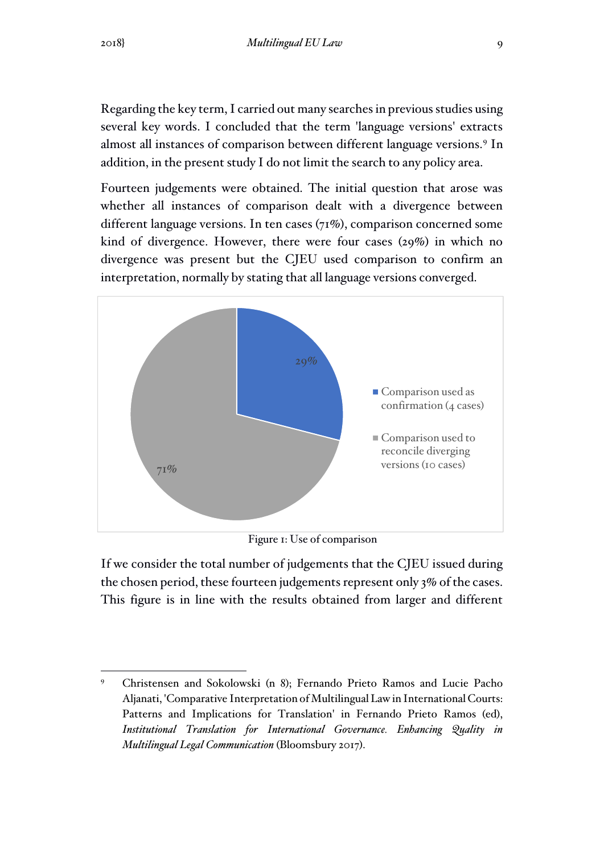Regarding the key term, I carried out many searches in previous studies using several key words. I concluded that the term 'language versions' extracts almost all instances of comparison between different language versions.<sup>9</sup> In addition, in the present study I do not limit the search to any policy area.

Fourteen judgements were obtained. The initial question that arose was whether all instances of comparison dealt with a divergence between different language versions. In ten cases (71%), comparison concerned some kind of divergence. However, there were four cases (29%) in which no divergence was present but the CJEU used comparison to confirm an interpretation, normally by stating that all language versions converged.



Figure 1: Use of comparison

If we consider the total number of judgements that the CJEU issued during the chosen period, these fourteen judgements represent only 3% of the cases. This figure is in line with the results obtained from larger and different

 $\overline{a}$ <sup>9</sup> Christensen and Sokolowski (n 8); Fernando Prieto Ramos and Lucie Pacho Aljanati, 'Comparative Interpretation of Multilingual Law in International Courts: Patterns and Implications for Translation' in Fernando Prieto Ramos (ed), *Institutional Translation for International Governance. Enhancing Quality in Multilingual Legal Communication* (Bloomsbury 2017).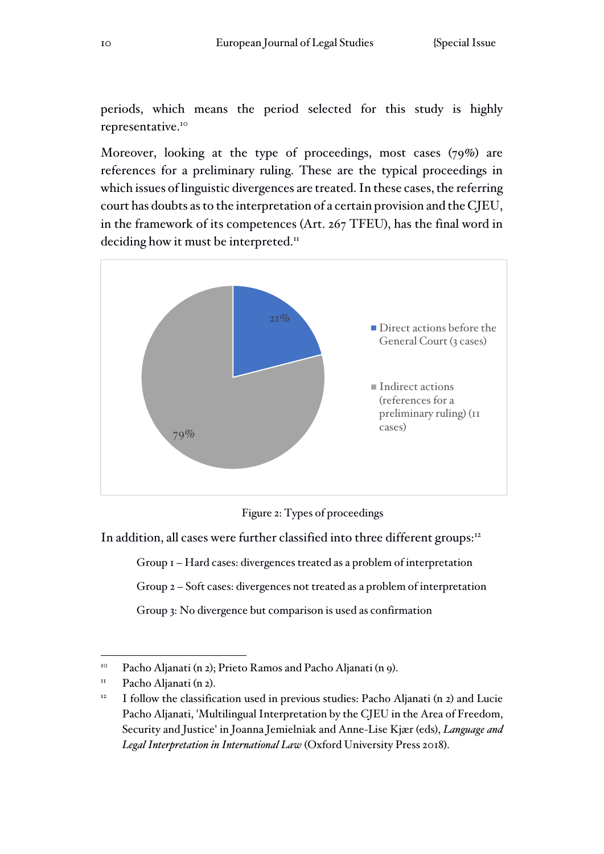periods, which means the period selected for this study is highly representative.<sup>10</sup>

Moreover, looking at the type of proceedings, most cases (79%) are references for a preliminary ruling. These are the typical proceedings in which issues of linguistic divergences are treated. In these cases, the referring court has doubts as to the interpretation of a certain provision and the CJEU, in the framework of its competences (Art. 267 TFEU), has the final word in deciding how it must be interpreted. $<sup>II</sup>$ </sup>



Figure 2: Types of proceedings

In addition, all cases were further classified into three different groups:<sup>12</sup>

Group 1 – Hard cases: divergences treated as a problem of interpretation Group 2 – Soft cases: divergences not treated as a problem of interpretation Group 3: No divergence but comparison is used as confirmation

<sup>&</sup>lt;sup>10</sup> Pacho Aljanati (n 2); Prieto Ramos and Pacho Aljanati (n 9).

 $\text{1}^{\text{II}}$  Pacho Aljanati (n 2).

 $12$  I follow the classification used in previous studies: Pacho Aljanati (n 2) and Lucie Pacho Aljanati, 'Multilingual Interpretation by the CJEU in the Area of Freedom, Security and Justice' in Joanna Jemielniak and Anne-Lise Kjær (eds), *Language and Legal Interpretation in International Law* (Oxford University Press 2018).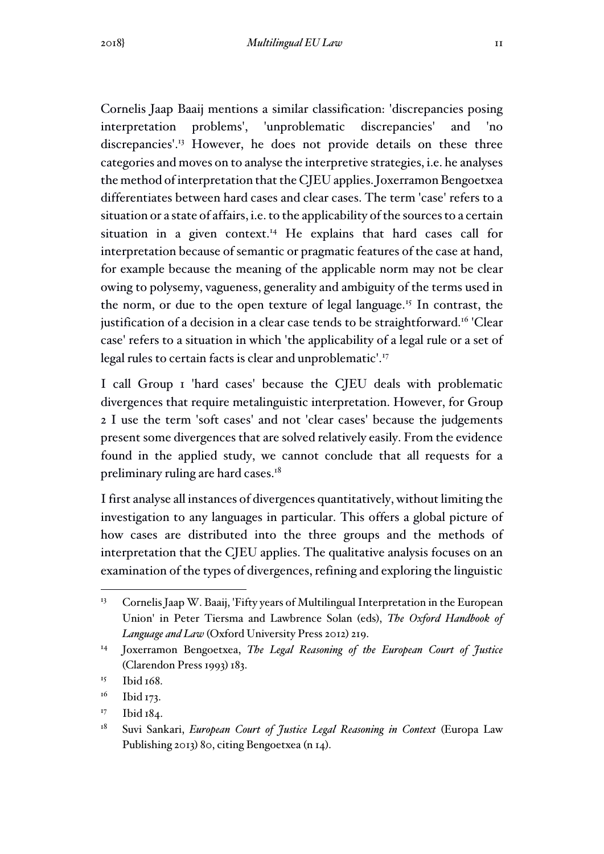Cornelis Jaap Baaij mentions a similar classification: 'discrepancies posing interpretation problems', 'unproblematic discrepancies' and 'no discrepancies'.<sup>13</sup> However, he does not provide details on these three categories and moves on to analyse the interpretive strategies, i.e. he analyses the method of interpretation that the CJEU applies. Joxerramon Bengoetxea differentiates between hard cases and clear cases. The term 'case' refers to a situation or a state of affairs, i.e. to the applicability of the sources to a certain situation in a given context.<sup>14</sup> He explains that hard cases call for interpretation because of semantic or pragmatic features of the case at hand, for example because the meaning of the applicable norm may not be clear owing to polysemy, vagueness, generality and ambiguity of the terms used in the norm, or due to the open texture of legal language.<sup>15</sup> In contrast, the justification of a decision in a clear case tends to be straightforward.<sup>16</sup> 'Clear case' refers to a situation in which 'the applicability of a legal rule or a set of legal rules to certain facts is clear and unproblematic'.<sup>17</sup>

I call Group 1 'hard cases' because the CJEU deals with problematic divergences that require metalinguistic interpretation. However, for Group 2 I use the term 'soft cases' and not 'clear cases' because the judgements present some divergences that are solved relatively easily. From the evidence found in the applied study, we cannot conclude that all requests for a preliminary ruling are hard cases.<sup>18</sup>

I first analyse all instances of divergences quantitatively, without limiting the investigation to any languages in particular. This offers a global picture of how cases are distributed into the three groups and the methods of interpretation that the CJEU applies. The qualitative analysis focuses on an examination of the types of divergences, refining and exploring the linguistic

<sup>&</sup>lt;sup>13</sup> Cornelis Jaap W. Baaij, 'Fifty years of Multilingual Interpretation in the European Union' in Peter Tiersma and Lawbrence Solan (eds), *The Oxford Handbook of Language and Law* (Oxford University Press 2012) 219.

<sup>14</sup> Joxerramon Bengoetxea, *The Legal Reasoning of the European Court of Justice* (Clarendon Press 1993) 183.

<sup>&</sup>lt;sup>15</sup> Ibid 168.

 $16$  Ibid 173.

<sup>&</sup>lt;sup>17</sup> Ibid 184.

<sup>18</sup> Suvi Sankari, *European Court of Justice Legal Reasoning in Context* (Europa Law Publishing 2013) 80, citing Bengoetxea (n 14).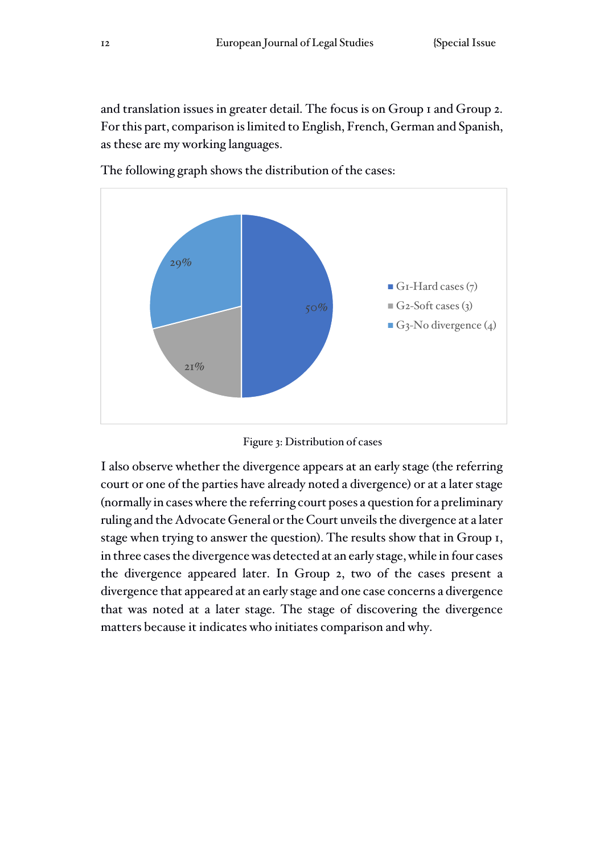and translation issues in greater detail. The focus is on Group 1 and Group 2. For this part, comparison is limited to English, French, German and Spanish, as these are my working languages.



The following graph shows the distribution of the cases:

Figure 3: Distribution of cases

I also observe whether the divergence appears at an early stage (the referring court or one of the parties have already noted a divergence) or at a later stage (normally in cases where the referring court poses a question for a preliminary ruling and the Advocate General or the Court unveils the divergence at a later stage when trying to answer the question). The results show that in Group 1, in three cases the divergence was detected at an early stage, while in four cases the divergence appeared later. In Group 2, two of the cases present a divergence that appeared at an early stage and one case concerns a divergence that was noted at a later stage. The stage of discovering the divergence matters because it indicates who initiates comparison and why.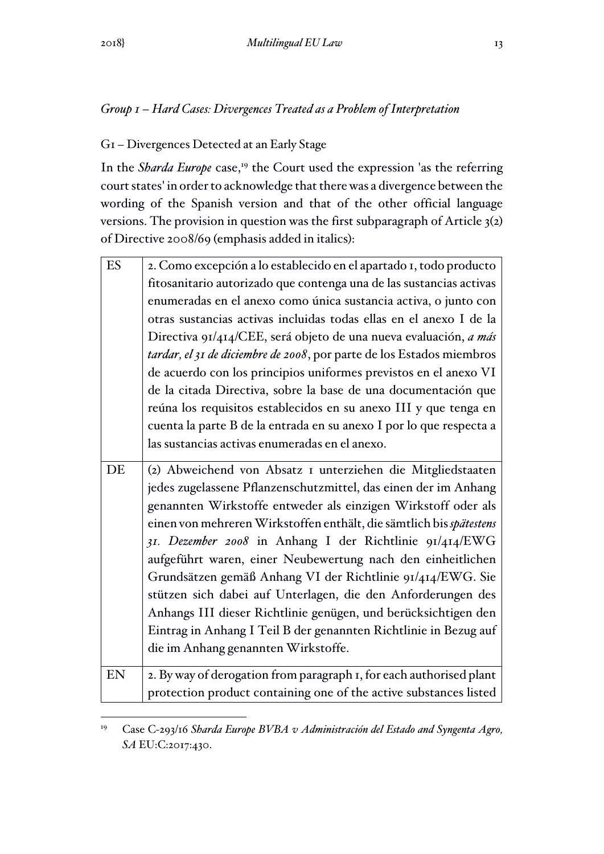# *Group 1 – Hard Cases: Divergences Treated as a Problem of Interpretation*

# G1 – Divergences Detected at an Early Stage

In the *Sharda Europe* case,<sup>19</sup> the Court used the expression 'as the referring court states' in order to acknowledge that there was a divergence between the wording of the Spanish version and that of the other official language versions. The provision in question was the first subparagraph of Article  $3(2)$ of Directive 2008/69 (emphasis added in italics):

| ES | 2. Como excepción a lo establecido en el apartado 1, todo producto    |
|----|-----------------------------------------------------------------------|
|    | fitosanitario autorizado que contenga una de las sustancias activas   |
|    | enumeradas en el anexo como única sustancia activa, o junto con       |
|    | otras sustancias activas incluidas todas ellas en el anexo I de la    |
|    | Directiva 91/414/CEE, será objeto de una nueva evaluación, a más      |
|    | tardar, el 31 de diciembre de 2008, por parte de los Estados miembros |
|    | de acuerdo con los principios uniformes previstos en el anexo VI      |
|    | de la citada Directiva, sobre la base de una documentación que        |
|    | reúna los requisitos establecidos en su anexo III y que tenga en      |
|    | cuenta la parte B de la entrada en su anexo I por lo que respecta a   |
|    | las sustancias activas enumeradas en el anexo.                        |
| DE | (2) Abweichend von Absatz I unterziehen die Mitgliedstaaten           |
|    | jedes zugelassene Pflanzenschutzmittel, das einen der im Anhang       |
|    | genannten Wirkstoffe entweder als einzigen Wirkstoff oder als         |
|    | einen von mehreren Wirkstoffen enthält, die sämtlich bis spätestens   |
|    | 31. Dezember 2008 in Anhang I der Richtlinie 91/414/EWG               |
|    | aufgeführt waren, einer Neubewertung nach den einheitlichen           |
|    | Grundsätzen gemäß Anhang VI der Richtlinie 91/414/EWG. Sie            |
|    | stützen sich dabei auf Unterlagen, die den Anforderungen des          |
|    | Anhangs III dieser Richtlinie genügen, und berücksichtigen den        |
|    | Eintrag in Anhang I Teil B der genannten Richtlinie in Bezug auf      |
|    | die im Anhang genannten Wirkstoffe.                                   |
| EN | 2. By way of derogation from paragraph 1, for each authorised plant   |
|    | protection product containing one of the active substances listed     |

 $\overline{a}$ <sup>19</sup> Case C-293/16 *Sharda Europe BVBA v Administración del Estado and Syngenta Agro, SA* EU:C:2017:430.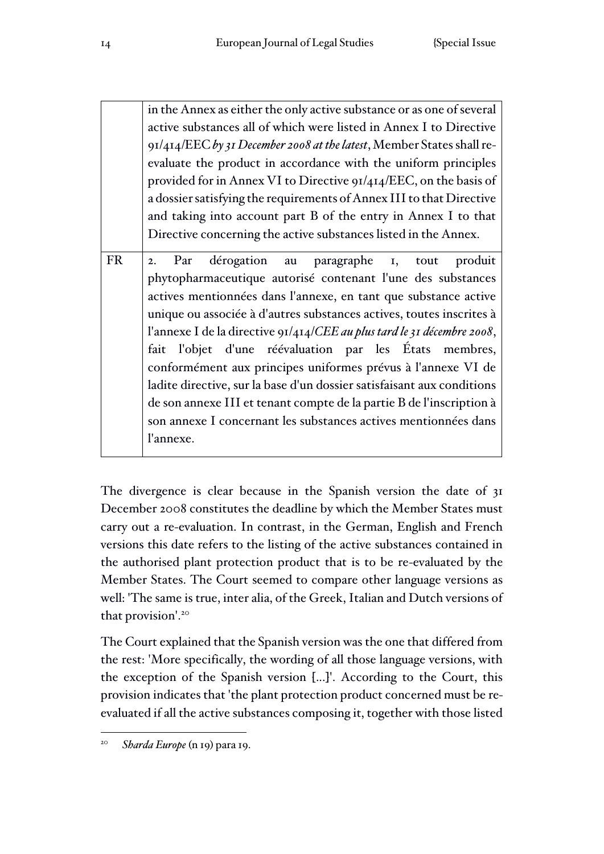in the Annex as either the only active substance or as one of several active substances all of which were listed in Annex I to Directive 91/414/EEC *by 31 December 2008 at the latest*, Member States shall reevaluate the product in accordance with the uniform principles provided for in Annex VI to Directive 91/414/EEC, on the basis of a dossier satisfying the requirements of Annex III to that Directive and taking into account part B of the entry in Annex I to that Directive concerning the active substances listed in the Annex. FR 2. Par dérogation au paragraphe 1, tout produit phytopharmaceutique autorisé contenant l'une des substances actives mentionnées dans l'annexe, en tant que substance active unique ou associée à d'autres substances actives, toutes inscrites à l'annexe I de la directive 91/414/*CEE au plus tard le 31 décembre 2008*, fait l'objet d'une réévaluation par les États membres, conformément aux principes uniformes prévus à l'annexe VI de ladite directive, sur la base d'un dossier satisfaisant aux conditions de son annexe III et tenant compte de la partie B de l'inscription à son annexe I concernant les substances actives mentionnées dans

The divergence is clear because in the Spanish version the date of 31 December 2008 constitutes the deadline by which the Member States must carry out a re-evaluation. In contrast, in the German, English and French versions this date refers to the listing of the active substances contained in the authorised plant protection product that is to be re-evaluated by the Member States. The Court seemed to compare other language versions as well: 'The same is true, inter alia, of the Greek, Italian and Dutch versions of that provision'.<sup>20</sup>

The Court explained that the Spanish version was the one that differed from the rest: 'More specifically, the wording of all those language versions, with the exception of the Spanish version [...]'. According to the Court, this provision indicates that 'the plant protection product concerned must be reevaluated if all the active substances composing it, together with those listed

l'annexe.

 $\overline{a}$ <sup>20</sup> *Sharda Europe* (n 19) para 19.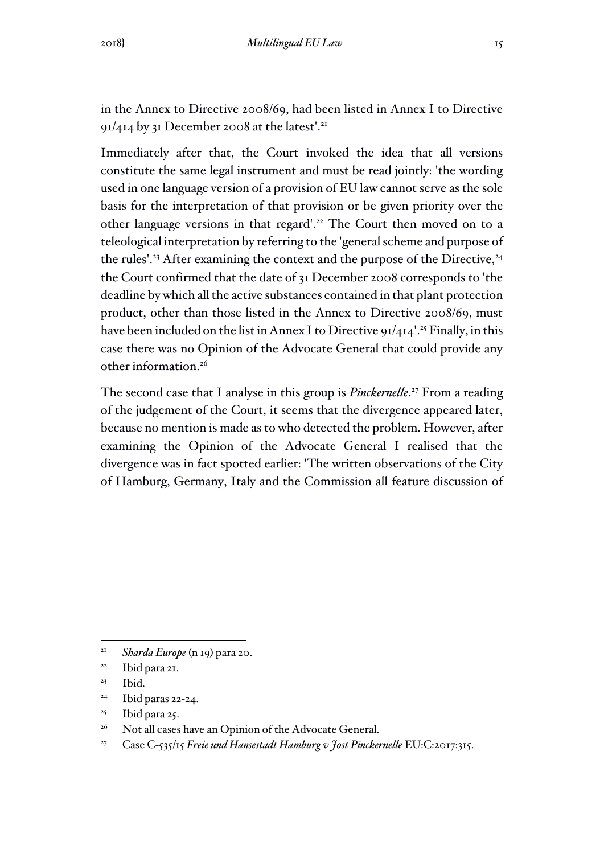in the Annex to Directive 2008/69, had been listed in Annex I to Directive 91/414 by 31 December 2008 at the latest'.<sup>21</sup>

Immediately after that, the Court invoked the idea that all versions constitute the same legal instrument and must be read jointly: 'the wording used in one language version of a provision of EU law cannot serve as the sole basis for the interpretation of that provision or be given priority over the other language versions in that regard'.<sup>22</sup> The Court then moved on to a teleological interpretation by referring to the 'general scheme and purpose of the rules'.<sup>23</sup> After examining the context and the purpose of the Directive,<sup>24</sup> the Court confirmed that the date of 31 December 2008 corresponds to 'the deadline by which all the active substances contained in that plant protection product, other than those listed in the Annex to Directive 2008/69, must have been included on the list in Annex I to Directive  $91/414^{1.25}$  Finally, in this case there was no Opinion of the Advocate General that could provide any other information.<sup>26</sup>

The second case that I analyse in this group is *Pinckernelle*. <sup>27</sup> From a reading of the judgement of the Court, it seems that the divergence appeared later, because no mention is made as to who detected the problem. However, after examining the Opinion of the Advocate General I realised that the divergence was in fact spotted earlier: 'The written observations of the City of Hamburg, Germany, Italy and the Commission all feature discussion of

 $\overline{a}$ 

 $25$  Ibid para 25.

<sup>21</sup> *Sharda Europe* (n 19) para 20.

 $22$  Ibid para 21.

 $23$  Ibid.

 $24$  Ibid paras 22-24.

<sup>&</sup>lt;sup>26</sup> Not all cases have an Opinion of the Advocate General.

<sup>&</sup>lt;sup>27</sup> Case C-535/15 *Freie und Hansestadt Hamburg v Jost Pinckernelle* EU:C:2017:315.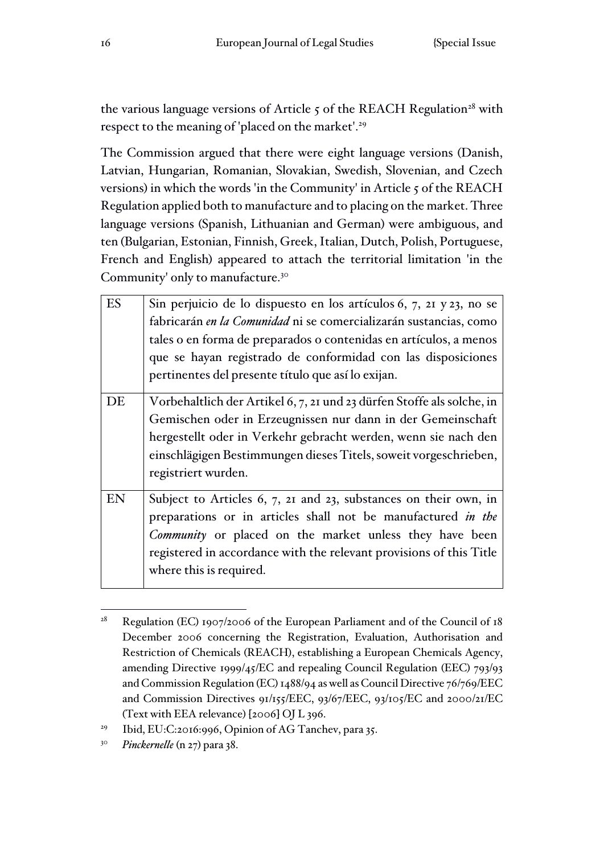the various language versions of Article  $\zeta$  of the REACH Regulation<sup>28</sup> with respect to the meaning of 'placed on the market'.<sup>29</sup>

The Commission argued that there were eight language versions (Danish, Latvian, Hungarian, Romanian, Slovakian, Swedish, Slovenian, and Czech versions) in which the words 'in the Community' in Article 5 of the REACH Regulation applied both to manufacture and to placing on the market. Three language versions (Spanish, Lithuanian and German) were ambiguous, and ten (Bulgarian, Estonian, Finnish, Greek, Italian, Dutch, Polish, Portuguese, French and English) appeared to attach the territorial limitation 'in the Community' only to manufacture.<sup>30</sup>

| ES | Sin perjuicio de lo dispuesto en los artículos 6, 7, 21 y 23, no se<br>fabricarán en la Comunidad ni se comercializarán sustancias, como<br>tales o en forma de preparados o contenidas en artículos, a menos<br>que se hayan registrado de conformidad con las disposiciones<br>pertinentes del presente título que así lo exijan. |
|----|-------------------------------------------------------------------------------------------------------------------------------------------------------------------------------------------------------------------------------------------------------------------------------------------------------------------------------------|
| DE | Vorbehaltlich der Artikel 6, 7, 21 und 23 dürfen Stoffe als solche, in                                                                                                                                                                                                                                                              |
|    | Gemischen oder in Erzeugnissen nur dann in der Gemeinschaft                                                                                                                                                                                                                                                                         |
|    | hergestellt oder in Verkehr gebracht werden, wenn sie nach den                                                                                                                                                                                                                                                                      |
|    | einschlägigen Bestimmungen dieses Titels, soweit vorgeschrieben,                                                                                                                                                                                                                                                                    |
|    | registriert wurden.                                                                                                                                                                                                                                                                                                                 |
| EN | Subject to Articles 6, 7, 21 and 23, substances on their own, in                                                                                                                                                                                                                                                                    |
|    | preparations or in articles shall not be manufactured in the                                                                                                                                                                                                                                                                        |
|    | Community or placed on the market unless they have been                                                                                                                                                                                                                                                                             |
|    | registered in accordance with the relevant provisions of this Title                                                                                                                                                                                                                                                                 |
|    | where this is required.                                                                                                                                                                                                                                                                                                             |
|    |                                                                                                                                                                                                                                                                                                                                     |

 $\overline{a}$ <sup>28</sup> Regulation (EC) 1907/2006 of the European Parliament and of the Council of 18 December 2006 concerning the Registration, Evaluation, Authorisation and Restriction of Chemicals (REACH), establishing a European Chemicals Agency, amending Directive 1999/45/EC and repealing Council Regulation (EEC) 793/93 and Commission Regulation (EC) 1488/94 as well as Council Directive 76/769/EEC and Commission Directives 91/155/EEC, 93/67/EEC, 93/105/EC and 2000/21/EC (Text with EEA relevance) [2006] OJ L 396.

<sup>&</sup>lt;sup>29</sup> Ibid, EU:C:2016:996, Opinion of AG Tanchev, para 35.

<sup>30</sup> *Pinckernelle* (n 27) para 38.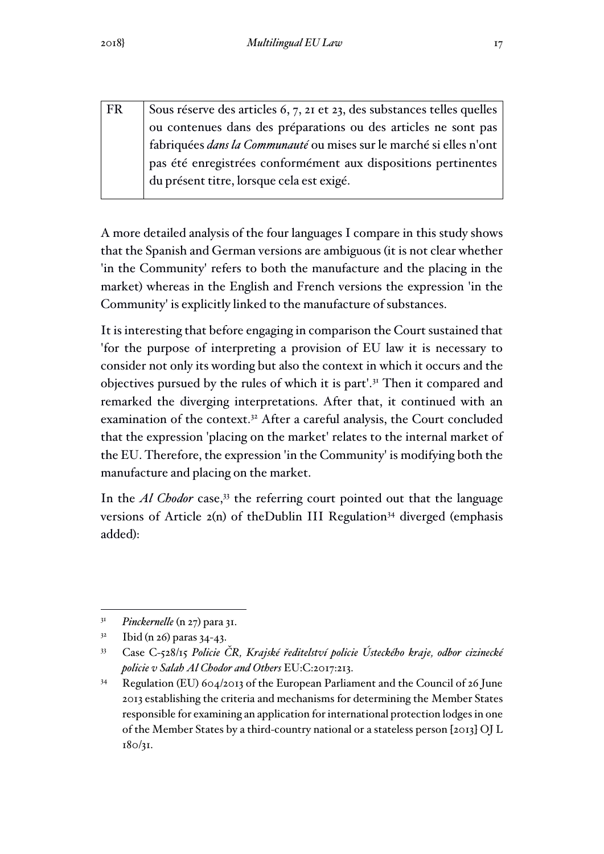| <b>FR</b> | Sous réserve des articles 6, 7, 21 et 23, des substances telles quelles    |
|-----------|----------------------------------------------------------------------------|
|           | ou contenues dans des préparations ou des articles ne sont pas             |
|           | fabriquées <i>dans la Communauté</i> ou mises sur le marché si elles n'ont |
|           | pas été enregistrées conformément aux dispositions pertinentes             |
|           | du présent titre, lorsque cela est exigé.                                  |
|           |                                                                            |

A more detailed analysis of the four languages I compare in this study shows that the Spanish and German versions are ambiguous (it is not clear whether 'in the Community' refers to both the manufacture and the placing in the market) whereas in the English and French versions the expression 'in the Community' is explicitly linked to the manufacture of substances.

It is interesting that before engaging in comparison the Court sustained that 'for the purpose of interpreting a provision of EU law it is necessary to consider not only its wording but also the context in which it occurs and the objectives pursued by the rules of which it is part'.<sup>31</sup> Then it compared and remarked the diverging interpretations. After that, it continued with an examination of the context.<sup>32</sup> After a careful analysis, the Court concluded that the expression 'placing on the market' relates to the internal market of the EU. Therefore, the expression 'in the Community' is modifying both the manufacture and placing on the market.

In the *Al Chodor* case,<sup>33</sup> the referring court pointed out that the language versions of Article  $2(n)$  of the Dublin III Regulation<sup>34</sup> diverged (emphasis added):

 $\overline{a}$ <sup>31</sup> *Pinckernelle* (n 27) para 31.

 $3^2$  Ibid (n 26) paras 34-43.

<sup>33</sup> Case C-528/15 *Policie ČR, Krajské ředitelství policie Ústeckého kraje, odbor cizinecké policie v Salah Al Chodor and Others* EU:C:2017:213.

<sup>34</sup> Regulation (EU) 604/2013 of the European Parliament and the Council of 26 June 2013 establishing the criteria and mechanisms for determining the Member States responsible for examining an application for international protection lodges in one of the Member States by a third-country national or a stateless person [2013] OJ L 180/31.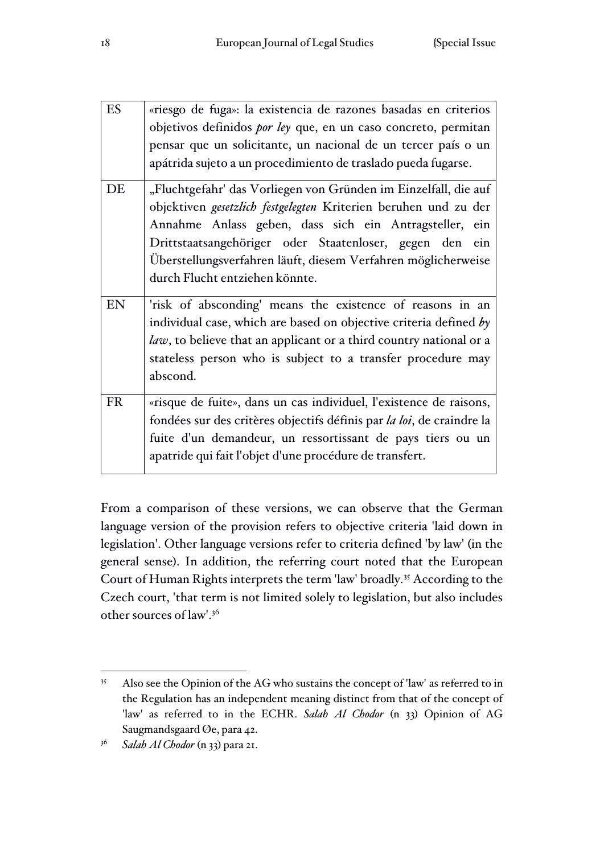| ES        | «riesgo de fuga»: la existencia de razones basadas en criterios          |
|-----------|--------------------------------------------------------------------------|
|           | objetivos definidos <i>por ley</i> que, en un caso concreto, permitan    |
|           | pensar que un solicitante, un nacional de un tercer país o un            |
|           | apátrida sujeto a un procedimiento de traslado pueda fugarse.            |
| DE        | "Fluchtgefahr' das Vorliegen von Gründen im Einzelfall, die auf          |
|           | objektiven gesetzlich festgelegten Kriterien beruhen und zu der          |
|           | Annahme Anlass geben, dass sich ein Antragsteller, ein                   |
|           | Drittstaatsangehöriger oder Staatenloser, gegen den ein                  |
|           | Überstellungsverfahren läuft, diesem Verfahren möglicherweise            |
|           | durch Flucht entziehen könnte.                                           |
| EN        | 'risk of absconding' means the existence of reasons in an                |
|           | individual case, which are based on objective criteria defined $b\gamma$ |
|           | law, to believe that an applicant or a third country national or a       |
|           | stateless person who is subject to a transfer procedure may              |
|           | abscond.                                                                 |
|           |                                                                          |
| <b>FR</b> | «risque de fuite», dans un cas individuel, l'existence de raisons,       |
|           | fondées sur des critères objectifs définis par la loi, de craindre la    |
|           | fuite d'un demandeur, un ressortissant de pays tiers ou un               |
|           | apatride qui fait l'objet d'une procédure de transfert.                  |
|           |                                                                          |

From a comparison of these versions, we can observe that the German language version of the provision refers to objective criteria 'laid down in legislation'. Other language versions refer to criteria defined 'by law' (in the general sense). In addition, the referring court noted that the European Court of Human Rights interprets the term 'law' broadly.<sup>35</sup> According to the Czech court, 'that term is not limited solely to legislation, but also includes other sources of law'.<sup>36</sup>

 $\overline{a}$ <sup>35</sup> Also see the Opinion of the AG who sustains the concept of 'law' as referred to in the Regulation has an independent meaning distinct from that of the concept of 'law' as referred to in the ECHR. *Salah Al Chodor* (n 33) Opinion of AG Saugmandsgaard Øe, para 42.

<sup>36</sup> *Salah Al Chodor* (n 33) para 21.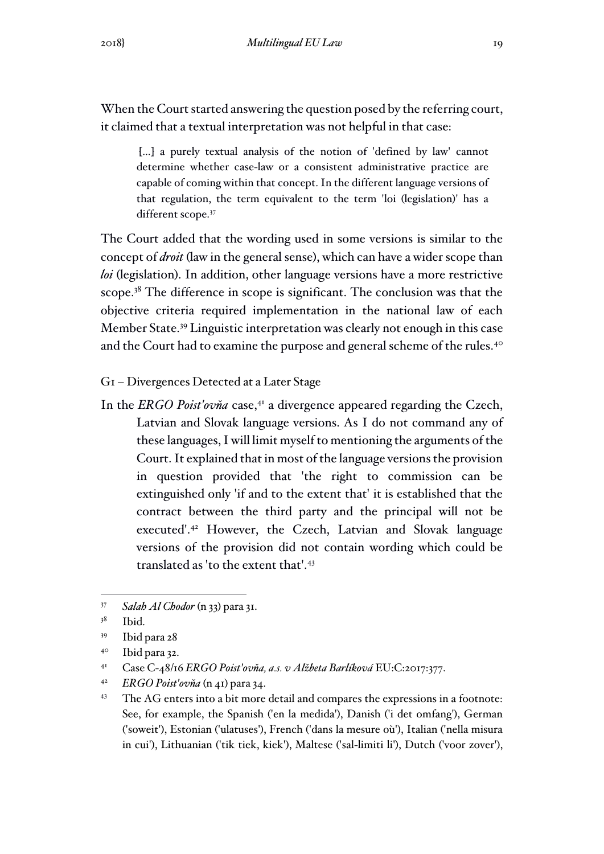When the Court started answering the question posed by the referring court, it claimed that a textual interpretation was not helpful in that case:

[...] a purely textual analysis of the notion of 'defined by law' cannot determine whether case-law or a consistent administrative practice are capable of coming within that concept. In the different language versions of that regulation, the term equivalent to the term 'loi (legislation)' has a different scope.<sup>37</sup>

The Court added that the wording used in some versions is similar to the concept of *droit* (law in the general sense), which can have a wider scope than *loi* (legislation). In addition, other language versions have a more restrictive scope.<sup>38</sup> The difference in scope is significant. The conclusion was that the objective criteria required implementation in the national law of each Member State.<sup>39</sup> Linguistic interpretation was clearly not enough in this case and the Court had to examine the purpose and general scheme of the rules.<sup>40</sup>

G1 – Divergences Detected at a Later Stage

In the *ERGO Poist'ovňa* case,<sup>41</sup> a divergence appeared regarding the Czech, Latvian and Slovak language versions. As I do not command any of these languages, I will limit myself to mentioning the arguments of the Court. It explained that in most of the language versions the provision in question provided that 'the right to commission can be extinguished only 'if and to the extent that' it is established that the contract between the third party and the principal will not be executed'.<sup>42</sup> However, the Czech, Latvian and Slovak language versions of the provision did not contain wording which could be translated as 'to the extent that'.<sup>43</sup>

<sup>37</sup> *Salah Al Chodor* (n 33) para 31.

<sup>38</sup> Ibid.

<sup>39</sup> Ibid para 28

<sup>40</sup> Ibid para 32.

<sup>41</sup> Case C-48/16 *ERGO Poist'ovňa, a.s. v Alžbeta Barlíková* EU:C:2017:377.

<sup>42</sup> *ERGO Poist'ovňa* (n 41) para 34.

<sup>&</sup>lt;sup>43</sup> The AG enters into a bit more detail and compares the expressions in a footnote: See, for example, the Spanish ('en la medida'), Danish ('i det omfang'), German ('soweit'), Estonian ('ulatuses'), French ('dans la mesure où'), Italian ('nella misura in cui'), Lithuanian ('tik tiek, kiek'), Maltese ('sal-limiti li'), Dutch ('voor zover'),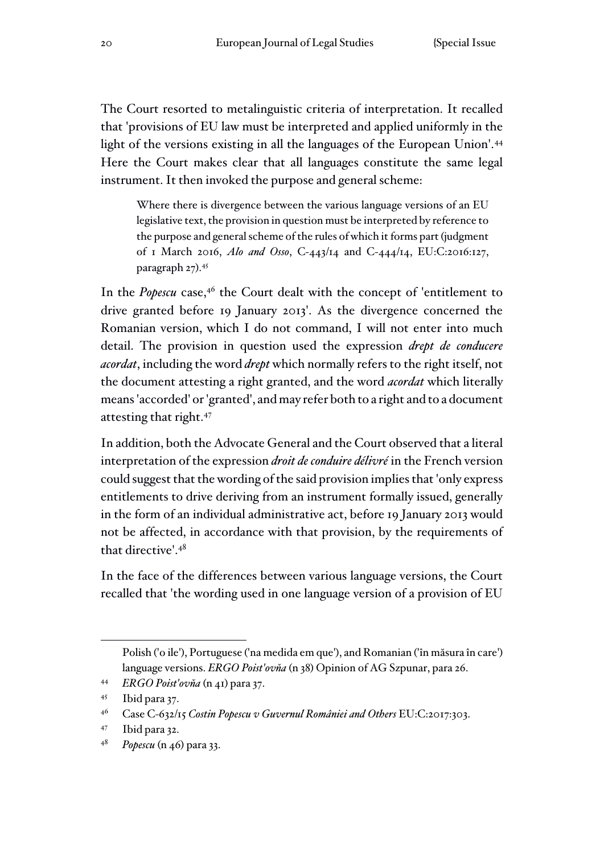The Court resorted to metalinguistic criteria of interpretation. It recalled that 'provisions of EU law must be interpreted and applied uniformly in the light of the versions existing in all the languages of the European Union'.<sup>44</sup> Here the Court makes clear that all languages constitute the same legal instrument. It then invoked the purpose and general scheme:

Where there is divergence between the various language versions of an EU legislative text, the provision in question must be interpreted by reference to the purpose and general scheme of the rules of which it forms part (judgment of 1 March 2016, *Alo and Osso*, C-443/14 and C-444/14, EU:C:2016:127, paragraph 27).<sup>45</sup>

In the *Popescu* case,<sup>46</sup> the Court dealt with the concept of 'entitlement to drive granted before 19 January 2013'. As the divergence concerned the Romanian version, which I do not command, I will not enter into much detail. The provision in question used the expression *drept de conducere acordat*, including the word *drept* which normally refers to the right itself, not the document attesting a right granted, and the word *acordat* which literally means 'accorded' or 'granted', and may refer both to a right and to a document attesting that right.<sup>47</sup>

In addition, both the Advocate General and the Court observed that a literal interpretation of the expression *droit de conduire délivré* in the French version could suggest that the wording of the said provision implies that 'only express entitlements to drive deriving from an instrument formally issued, generally in the form of an individual administrative act, before 19 January 2013 would not be affected, in accordance with that provision, by the requirements of that directive'.<sup>48</sup>

In the face of the differences between various language versions, the Court recalled that 'the wording used in one language version of a provision of EU

Polish ('o ile'), Portuguese ('na medida em que'), and Romanian ('în măsura în care') language versions. *ERGO Poist'ovňa* (n 38) Opinion of AG Szpunar, para 26.

<sup>44</sup> *ERGO Poist'ovňa* (n 41) para 37.

<sup>45</sup> Ibid para 37.

<sup>46</sup> Case C-632/15 *Costin Popescu v Guvernul României and Others* EU:C:2017:303.

<sup>47</sup> Ibid para 32.

<sup>48</sup> *Popescu* (n 46) para 33.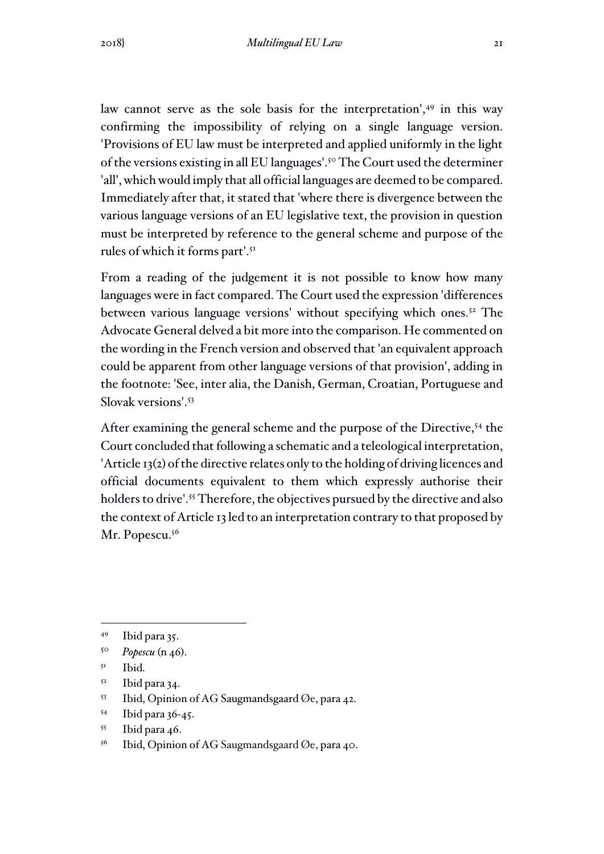law cannot serve as the sole basis for the interpretation',<sup>49</sup> in this way confirming the impossibility of relying on a single language version. 'Provisions of EU law must be interpreted and applied uniformly in the light of the versions existing in all EU languages'.<sup>50</sup> The Court used the determiner 'all', which would imply that all official languages are deemed to be compared. Immediately after that, it stated that 'where there is divergence between the various language versions of an EU legislative text, the provision in question must be interpreted by reference to the general scheme and purpose of the rules of which it forms part'.<sup>51</sup>

From a reading of the judgement it is not possible to know how many languages were in fact compared. The Court used the expression 'differences between various language versions' without specifying which ones.<sup>52</sup> The Advocate General delved a bit more into the comparison. He commented on the wording in the French version and observed that 'an equivalent approach could be apparent from other language versions of that provision', adding in the footnote: 'See, inter alia, the Danish, German, Croatian, Portuguese and Slovak versions'.<sup>53</sup>

After examining the general scheme and the purpose of the Directive,<sup>54</sup> the Court concluded that following a schematic and a teleological interpretation, 'Article 13(2) of the directive relates only to the holding of driving licences and official documents equivalent to them which expressly authorise their holders to drive'.<sup>55</sup> Therefore, the objectives pursued by the directive and also the context of Article 13 led to an interpretation contrary to that proposed by Mr. Popescu.<sup>56</sup>

- 53 Ibid, Opinion of AG Saugmandsgaard Øe, para 42.
- <sup>54</sup> Ibid para 36-45.
- $55$  Ibid para 46.
- $56$  Ibid, Opinion of AG Saugmandsgaard  $\varnothing$ e, para 40.

<sup>49</sup> Ibid para 35.

<sup>50</sup> *Popescu* (n 46).

<sup>51</sup> Ibid.

 $52$  Ibid para 34.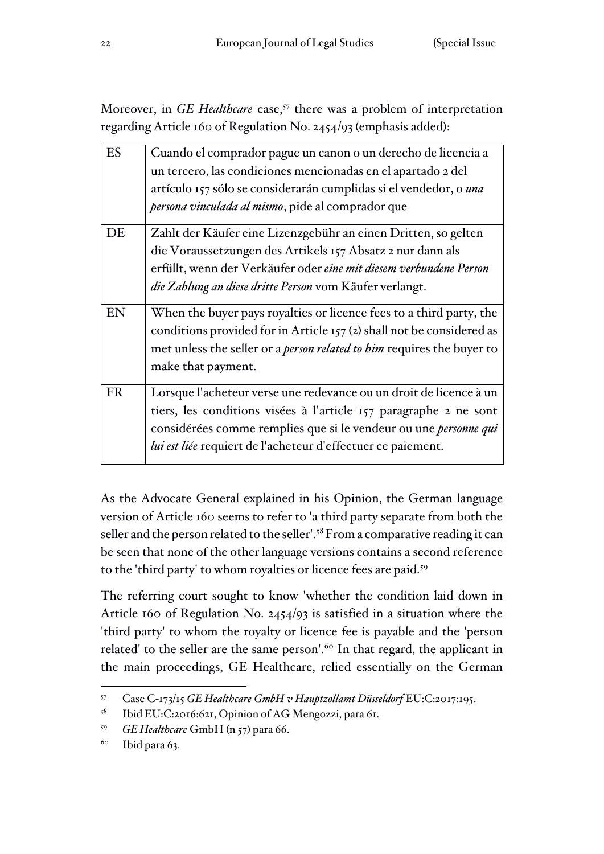Moreover, in *GE Healthcare* case,<sup>57</sup> there was a problem of interpretation regarding Article 160 of Regulation No. 2454/93 (emphasis added):

| ES        | Cuando el comprador pague un canon o un derecho de licencia a                 |
|-----------|-------------------------------------------------------------------------------|
|           | un tercero, las condiciones mencionadas en el apartado 2 del                  |
|           | artículo 157 sólo se considerarán cumplidas si el vendedor, o una             |
|           | persona vinculada al mismo, pide al comprador que                             |
| DE        | Zahlt der Käufer eine Lizenzgebühr an einen Dritten, so gelten                |
|           | die Voraussetzungen des Artikels 157 Absatz 2 nur dann als                    |
|           | erfüllt, wenn der Verkäufer oder eine mit diesem verbundene Person            |
|           | die Zahlung an diese dritte Person vom Käufer verlangt.                       |
| EN        | When the buyer pays royalties or licence fees to a third party, the           |
|           | conditions provided for in Article 157 (2) shall not be considered as         |
|           | met unless the seller or a <i>person related to him</i> requires the buyer to |
|           | make that payment.                                                            |
| <b>FR</b> | Lorsque l'acheteur verse une redevance ou un droit de licence à un            |
|           | tiers, les conditions visées à l'article 157 paragraphe 2 ne sont             |
|           | considérées comme remplies que si le vendeur ou une personne qui              |
|           | lui est liée requiert de l'acheteur d'effectuer ce paiement.                  |

As the Advocate General explained in his Opinion, the German language version of Article 160 seems to refer to 'a third party separate from both the seller and the person related to the seller'.<sup>58</sup> From a comparative reading it can be seen that none of the other language versions contains a second reference to the 'third party' to whom royalties or licence fees are paid.<sup>59</sup>

The referring court sought to know 'whether the condition laid down in Article 160 of Regulation No. 2454/93 is satisfied in a situation where the 'third party' to whom the royalty or licence fee is payable and the 'person related' to the seller are the same person'.<sup>60</sup> In that regard, the applicant in the main proceedings, GE Healthcare, relied essentially on the German

<sup>57</sup> Case C-173/15 *GE Healthcare GmbH v Hauptzollamt Düsseldorf* EU:C:2017:195.

<sup>58</sup> Ibid EU:C:2016:621, Opinion of AG Mengozzi, para 61.

<sup>59</sup> *GE Healthcare* GmbH (n 57) para 66.

<sup>&</sup>lt;sup>60</sup> Ibid para 63.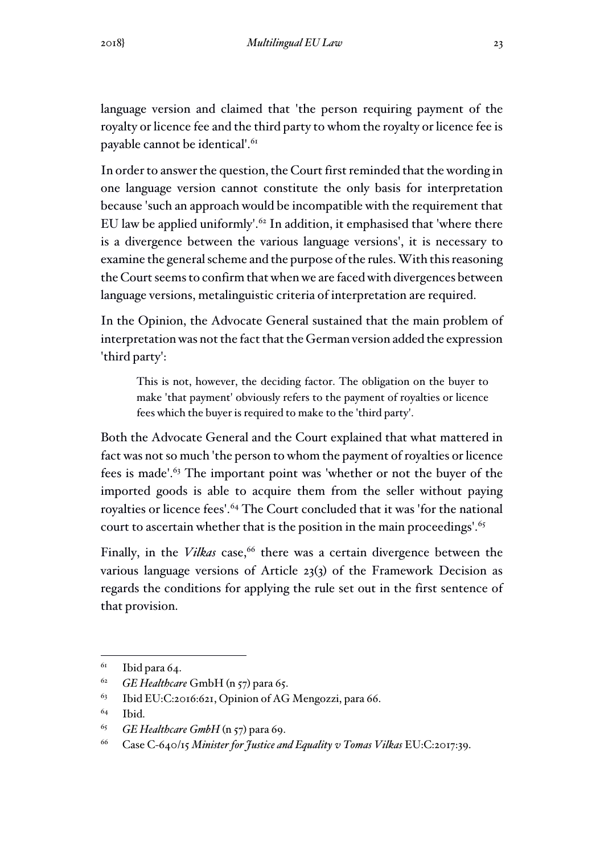language version and claimed that 'the person requiring payment of the royalty or licence fee and the third party to whom the royalty or licence fee is payable cannot be identical'.<sup>61</sup>

In order to answer the question, the Court first reminded that the wording in one language version cannot constitute the only basis for interpretation because 'such an approach would be incompatible with the requirement that EU law be applied uniformly'.<sup>62</sup> In addition, it emphasised that 'where there is a divergence between the various language versions', it is necessary to examine the general scheme and the purpose of the rules. With this reasoning the Court seems to confirm that when we are faced with divergences between language versions, metalinguistic criteria of interpretation are required.

In the Opinion, the Advocate General sustained that the main problem of interpretation was not the fact that the German version added the expression 'third party':

This is not, however, the deciding factor. The obligation on the buyer to make 'that payment' obviously refers to the payment of royalties or licence fees which the buyer is required to make to the 'third party'.

Both the Advocate General and the Court explained that what mattered in fact was not so much 'the person to whom the payment of royalties or licence fees is made'.<sup>63</sup> The important point was 'whether or not the buyer of the imported goods is able to acquire them from the seller without paying royalties or licence fees'.<sup>64</sup> The Court concluded that it was 'for the national court to ascertain whether that is the position in the main proceedings'.<sup>65</sup>

Finally, in the *Vilkas* case,<sup>66</sup> there was a certain divergence between the various language versions of Article 23(3) of the Framework Decision as regards the conditions for applying the rule set out in the first sentence of that provision.

 $<sup>61</sup>$  Ibid para 64.</sup>

<sup>62</sup> *GE Healthcare* GmbH (n 57) para 65.

<sup>63</sup> Ibid EU:C:2016:621, Opinion of AG Mengozzi, para 66.

<sup>64</sup> Ibid.

<sup>65</sup> *GE Healthcare GmbH* (n 57) para 69.

<sup>66</sup> Case C-640/15 *Minister for Justice and Equality v Tomas Vilkas* EU:C:2017:39.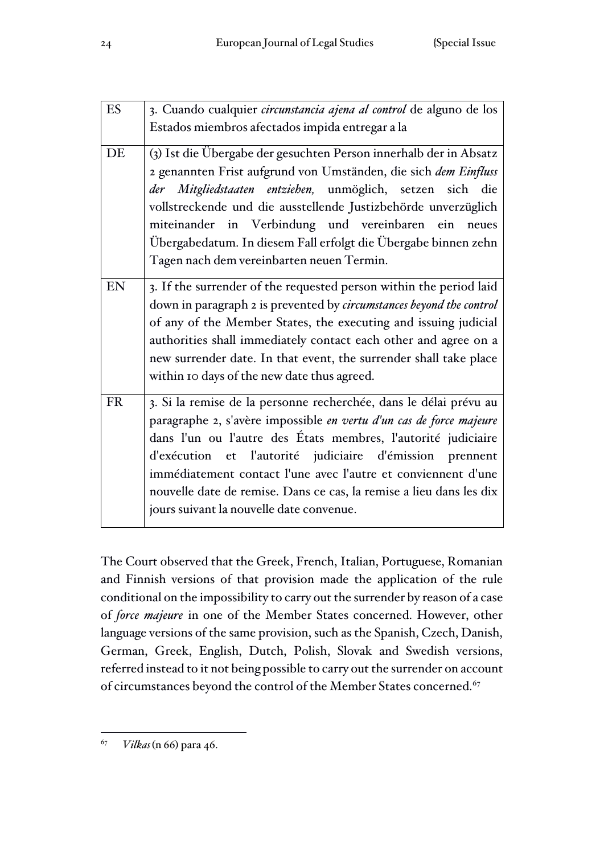| ES        | 3. Cuando cualquier circunstancia ajena al control de alguno de los                                                                                                                                                                                                                                                                                                                                                                                       |
|-----------|-----------------------------------------------------------------------------------------------------------------------------------------------------------------------------------------------------------------------------------------------------------------------------------------------------------------------------------------------------------------------------------------------------------------------------------------------------------|
|           | Estados miembros afectados impida entregar a la                                                                                                                                                                                                                                                                                                                                                                                                           |
| DE        | (3) Ist die Übergabe der gesuchten Person innerhalb der in Absatz<br>2 genannten Frist aufgrund von Umständen, die sich dem Einfluss<br>der Mitgliedstaaten entziehen, unmöglich, setzen sich die<br>vollstreckende und die ausstellende Justizbehörde unverzüglich<br>miteinander in Verbindung und vereinbaren ein neues<br>Übergabedatum. In diesem Fall erfolgt die Übergabe binnen zehn<br>Tagen nach dem vereinbarten neuen Termin.                 |
| EN        | 3. If the surrender of the requested person within the period laid<br>down in paragraph 2 is prevented by circumstances beyond the control<br>of any of the Member States, the executing and issuing judicial<br>authorities shall immediately contact each other and agree on a<br>new surrender date. In that event, the surrender shall take place<br>within 10 days of the new date thus agreed.                                                      |
| <b>FR</b> | 3. Si la remise de la personne recherchée, dans le délai prévu au<br>paragraphe 2, s'avère impossible en vertu d'un cas de force majeure<br>dans l'un ou l'autre des États membres, l'autorité judiciaire<br>d'exécution et l'autorité judiciaire d'émission prennent<br>immédiatement contact l'une avec l'autre et conviennent d'une<br>nouvelle date de remise. Dans ce cas, la remise a lieu dans les dix<br>jours suivant la nouvelle date convenue. |

The Court observed that the Greek, French, Italian, Portuguese, Romanian and Finnish versions of that provision made the application of the rule conditional on the impossibility to carry out the surrender by reason of a case of *force majeure* in one of the Member States concerned. However, other language versions of the same provision, such as the Spanish, Czech, Danish, German, Greek, English, Dutch, Polish, Slovak and Swedish versions, referred instead to it not being possible to carry out the surrender on account of circumstances beyond the control of the Member States concerned.<sup>67</sup>

<sup>67</sup> *Vilkas*(n 66) para 46.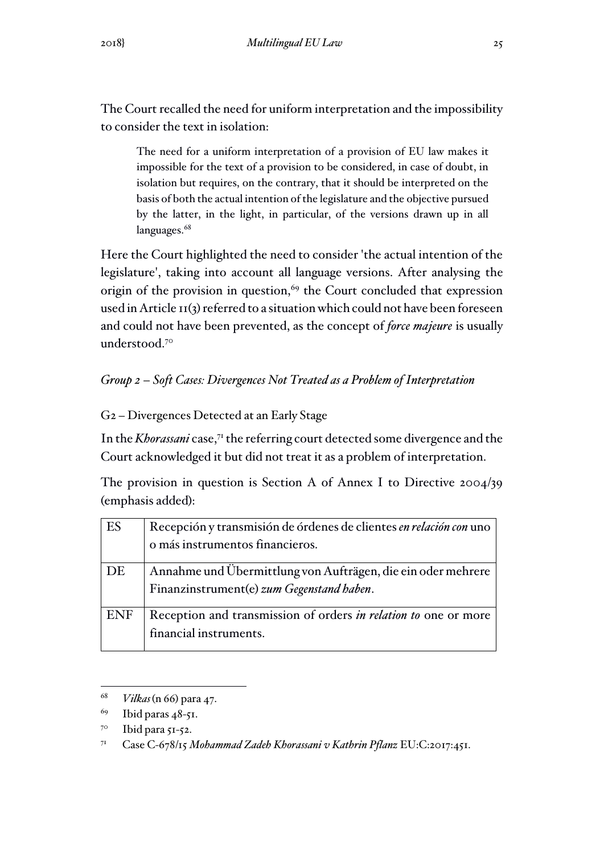The Court recalled the need for uniform interpretation and the impossibility to consider the text in isolation:

The need for a uniform interpretation of a provision of EU law makes it impossible for the text of a provision to be considered, in case of doubt, in isolation but requires, on the contrary, that it should be interpreted on the basis of both the actual intention of the legislature and the objective pursued by the latter, in the light, in particular, of the versions drawn up in all languages.<sup>68</sup>

Here the Court highlighted the need to consider 'the actual intention of the legislature', taking into account all language versions. After analysing the origin of the provision in question, $69$  the Court concluded that expression used in Article 11(3) referred to a situation which could not have been foreseen and could not have been prevented, as the concept of *force majeure* is usually understood.<sup>70</sup>

# *Group 2 – Soft Cases: Divergences Not Treated as a Problem of Interpretation*

G2 – Divergences Detected at an Early Stage

In the *Khorassani* case,<sup>71</sup> the referring court detected some divergence and the Court acknowledged it but did not treat it as a problem of interpretation.

The provision in question is Section A of Annex I to Directive 2004/39 (emphasis added):

| ES         | Recepción y transmisión de órdenes de clientes en relación con uno<br>o más instrumentos financieros.     |
|------------|-----------------------------------------------------------------------------------------------------------|
| DE         | Annahme und Übermittlung von Aufträgen, die ein oder mehrere<br>Finanzinstrument(e) zum Gegenstand haben. |
| <b>ENF</b> | Reception and transmission of orders in relation to one or more<br>financial instruments.                 |

<sup>68</sup> *Vilkas*(n 66) para 47.

 $^{69}$  Ibid paras 48-51.

 $7^\circ$  Ibid para  $51-52$ .

<sup>71</sup> Case C-678/15 *Mohammad Zadeh Khorassani v Kathrin Pflanz* EU:C:2017:451.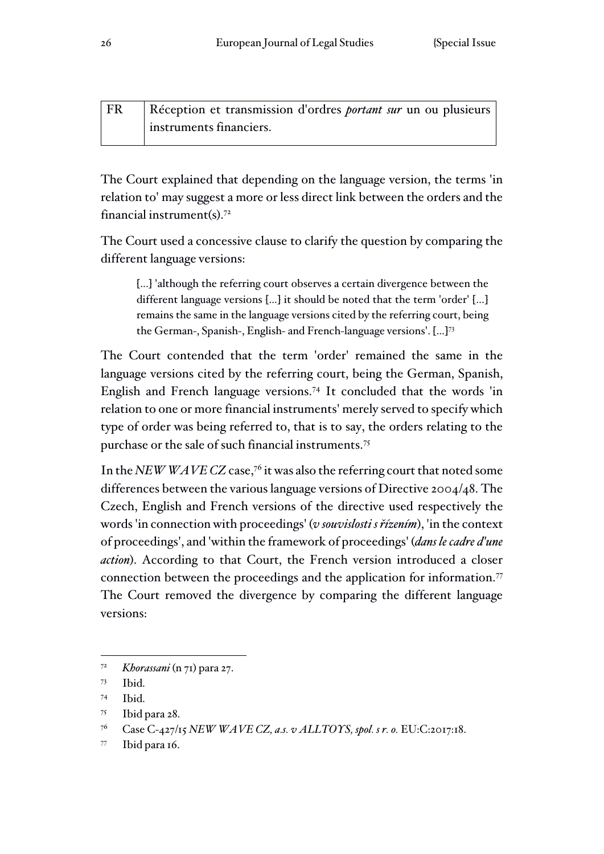| FR | Réception et transmission d'ordres <i>portant sur</i> un ou plusieurs |
|----|-----------------------------------------------------------------------|
|    | instruments financiers.                                               |

The Court explained that depending on the language version, the terms 'in relation to' may suggest a more or less direct link between the orders and the financial instrument(s).<sup>72</sup>

The Court used a concessive clause to clarify the question by comparing the different language versions:

[...] 'although the referring court observes a certain divergence between the different language versions [...] it should be noted that the term 'order' […] remains the same in the language versions cited by the referring court, being the German-, Spanish-, English- and French-language versions'. [...]<sup>73</sup>

The Court contended that the term 'order' remained the same in the language versions cited by the referring court, being the German, Spanish, English and French language versions.<sup>74</sup> It concluded that the words 'in relation to one or more financial instruments' merely served to specify which type of order was being referred to, that is to say, the orders relating to the purchase or the sale of such financial instruments.<sup>75</sup>

In the *NEW WAVE CZ* case,<sup>76</sup> it was also the referring court that noted some differences between the various language versions of Directive 2004/48. The Czech, English and French versions of the directive used respectively the words 'in connection with proceedings' (*v souvislosti s řízením*), 'in the context of proceedings', and 'within the framework of proceedings' (*dans le cadre d'une action*). According to that Court, the French version introduced a closer connection between the proceedings and the application for information.<sup>77</sup> The Court removed the divergence by comparing the different language versions:

<sup>72</sup> *Khorassani* (n 71) para 27.

<sup>73</sup> Ibid.

<sup>74</sup> Ibid.

<sup>75</sup> Ibid para 28.

<sup>76</sup> Case C-427/15 *NEW WAVE CZ, a.s. v ALLTOYS, spol. s r. o.* EU:C:2017:18.

<sup>77</sup> Ibid para 16.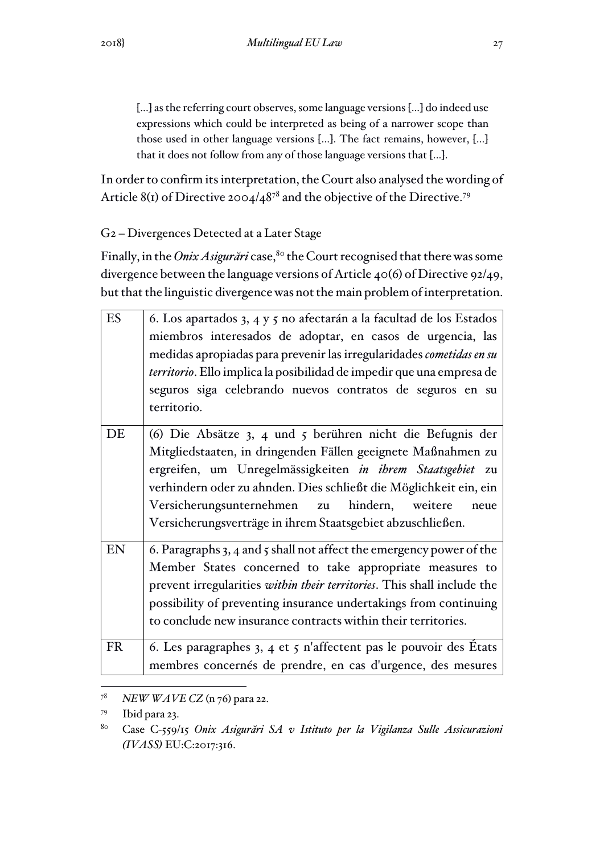[...] as the referring court observes, some language versions [...] do indeed use expressions which could be interpreted as being of a narrower scope than those used in other language versions [...]. The fact remains, however, [...] that it does not follow from any of those language versions that [...].

In order to confirm its interpretation, the Court also analysed the wording of Article  $8<sub>(1)</sub>$  of Directive 2004/48<sup>78</sup> and the objective of the Directive.<sup>79</sup>

G2 – Divergences Detected at a Later Stage

Finally, in the *Onix Asigurări* case,<sup>80</sup> the Court recognised that there was some divergence between the language versions of Article 40(6) of Directive 92/49, but that the linguistic divergence was not the main problem of interpretation.

| <b>ES</b> | 6. Los apartados 3, 4 y 5 no afectarán a la facultad de los Estados<br>miembros interesados de adoptar, en casos de urgencia, las<br>medidas apropiadas para prevenir las irregularidades cometidas en su<br>territorio. Ello implica la posibilidad de impedir que una empresa de<br>seguros siga celebrando nuevos contratos de seguros en su<br>territorio.                            |
|-----------|-------------------------------------------------------------------------------------------------------------------------------------------------------------------------------------------------------------------------------------------------------------------------------------------------------------------------------------------------------------------------------------------|
| DE        | (6) Die Absätze 3, 4 und 5 berühren nicht die Befugnis der<br>Mitgliedstaaten, in dringenden Fällen geeignete Maßnahmen zu<br>ergreifen, um Unregelmässigkeiten in ihrem Staatsgebiet zu<br>verhindern oder zu ahnden. Dies schließt die Möglichkeit ein, ein<br>Versicherungsunternehmen zu<br>hindern,<br>weitere<br>neue<br>Versicherungsverträge in ihrem Staatsgebiet abzuschließen. |
| EN        | 6. Paragraphs 3, 4 and 5 shall not affect the emergency power of the<br>Member States concerned to take appropriate measures to<br>prevent irregularities within their territories. This shall include the<br>possibility of preventing insurance undertakings from continuing<br>to conclude new insurance contracts within their territories.                                           |
| <b>FR</b> | 6. Les paragraphes 3, 4 et 5 n'affectent pas le pouvoir des États<br>membres concernés de prendre, en cas d'urgence, des mesures                                                                                                                                                                                                                                                          |

<sup>78</sup> *NEW WAVE CZ* (n 76) para 22.

<sup>79</sup> Ibid para 23.

<sup>80</sup> Case C-559/15 *Onix Asigurări SA v Istituto per la Vigilanza Sulle Assicurazioni (IVASS)* EU:C:2017:316.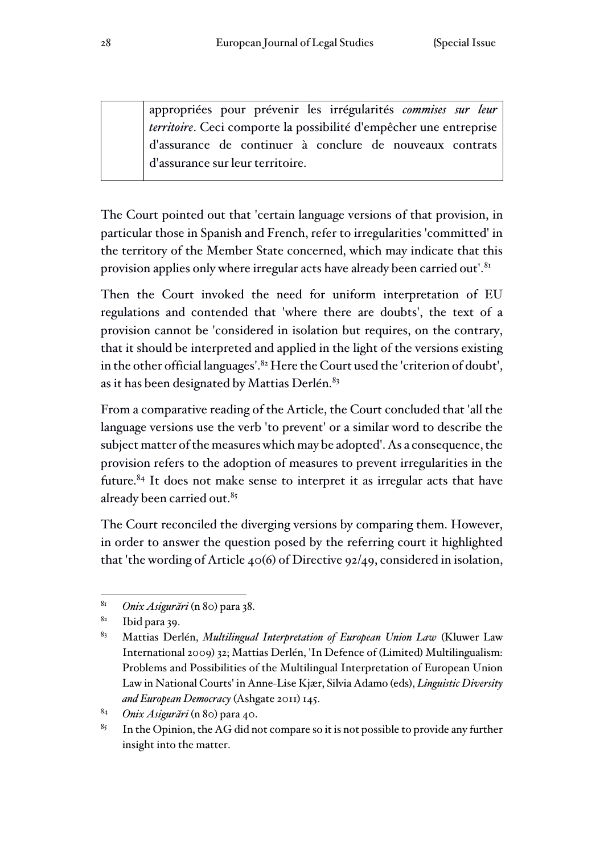appropriées pour prévenir les irrégularités *commises sur leur territoire*. Ceci comporte la possibilité d'empêcher une entreprise d'assurance de continuer à conclure de nouveaux contrats d'assurance sur leur territoire.

The Court pointed out that 'certain language versions of that provision, in particular those in Spanish and French, refer to irregularities 'committed' in the territory of the Member State concerned, which may indicate that this provision applies only where irregular acts have already been carried out'.<sup>81</sup>

Then the Court invoked the need for uniform interpretation of EU regulations and contended that 'where there are doubts', the text of a provision cannot be 'considered in isolation but requires, on the contrary, that it should be interpreted and applied in the light of the versions existing in the other official languages'.<sup>82</sup> Here the Court used the 'criterion of doubt', as it has been designated by Mattias Derlén. $83$ 

From a comparative reading of the Article, the Court concluded that 'all the language versions use the verb 'to prevent' or a similar word to describe the subject matter of the measures which may be adopted'. As a consequence, the provision refers to the adoption of measures to prevent irregularities in the future.<sup>84</sup> It does not make sense to interpret it as irregular acts that have already been carried out.<sup>85</sup>

The Court reconciled the diverging versions by comparing them. However, in order to answer the question posed by the referring court it highlighted that 'the wording of Article 40(6) of Directive 92/49, considered in isolation,

<sup>81</sup> *Onix Asigurări* (n 80) para 38.

 $82$  Ibid para 39.

<sup>83</sup> Mattias Derlén, *Multilingual Interpretation of European Union Law* (Kluwer Law International 2009) 32; Mattias Derlén, 'In Defence of (Limited) Multilingualism: Problems and Possibilities of the Multilingual Interpretation of European Union Law in National Courts' in Anne-Lise Kjær, Silvia Adamo (eds), *Linguistic Diversity and European Democracy* (Ashgate 2011) 145.

<sup>84</sup> *Onix Asigurări* (n 80) para 40.

 $85$  In the Opinion, the AG did not compare so it is not possible to provide any further insight into the matter.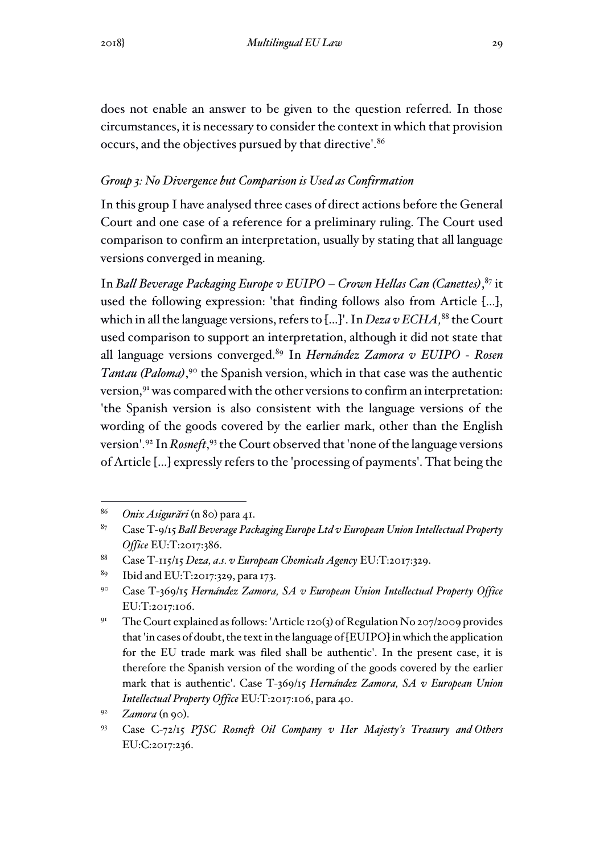does not enable an answer to be given to the question referred. In those circumstances, it is necessary to consider the context in which that provision occurs, and the objectives pursued by that directive'.<sup>86</sup>

# *Group 3: No Divergence but Comparison is Used as Confirmation*

In this group I have analysed three cases of direct actions before the General Court and one case of a reference for a preliminary ruling. The Court used comparison to confirm an interpretation, usually by stating that all language versions converged in meaning.

In *Ball Beverage Packaging Europe v EUIPO* – *Crown Hellas Can (Canettes)*, <sup>87</sup> it used the following expression: 'that finding follows also from Article [...], which in all the language versions, refers to [...]'. In *Deza v ECHA,*<sup>88</sup> the Court used comparison to support an interpretation, although it did not state that all language versions converged.<sup>89</sup> In *Hernández Zamora v EUIPO - Rosen*  Tantau (Paloma),<sup>90</sup> the Spanish version, which in that case was the authentic version,<sup>91</sup> was compared with the other versions to confirm an interpretation: 'the Spanish version is also consistent with the language versions of the wording of the goods covered by the earlier mark, other than the English version'.<sup>92</sup> In *Rosneft*, <sup>93</sup> the Court observed that 'none of the language versions of Article [...] expressly refers to the 'processing of payments'. That being the

<sup>86</sup> *Onix Asigurări* (n 80) para 41.

<sup>87</sup> Case T-9/15 *Ball Beverage Packaging Europe Ltd v European Union Intellectual Property Office* EU:T:2017:386.

<sup>88</sup> Case T-115/15 *Deza, a.s. v European Chemicals Agency* EU:T:2017:329.

<sup>89</sup> Ibid and EU:T:2017:329, para 173.

<sup>90</sup> Case T-369/15 *Hernández Zamora, SA v European Union Intellectual Property Office* EU:T:2017:106.

<sup>&</sup>lt;sup>91</sup> The Court explained as follows: 'Article 120(3) of Regulation No 207/2009 provides that'in cases of doubt, the text in the language of [EUIPO] in which the application for the EU trade mark was filed shall be authentic'. In the present case, it is therefore the Spanish version of the wording of the goods covered by the earlier mark that is authentic'. Case T-369/15 *Hernández Zamora, SA v European Union Intellectual Property Office* EU:T:2017:106, para 40.

<sup>92</sup> *Zamora* (n 90).

<sup>93</sup> Case C-72/15 *PJSC Rosneft Oil Company v Her Majesty's Treasury and Others* EU:C:2017:236.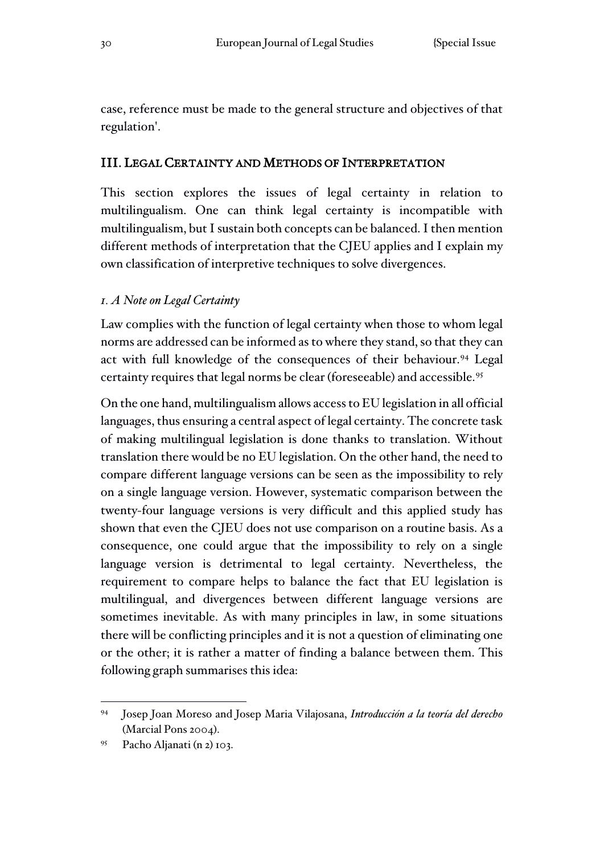case, reference must be made to the general structure and objectives of that regulation'.

## III. LEGAL CERTAINTY AND METHODS OF INTERPRETATION

This section explores the issues of legal certainty in relation to multilingualism. One can think legal certainty is incompatible with multilingualism, but I sustain both concepts can be balanced. I then mention different methods of interpretation that the CJEU applies and I explain my own classification of interpretive techniques to solve divergences.

# *1. A Note on Legal Certainty*

Law complies with the function of legal certainty when those to whom legal norms are addressed can be informed as to where they stand, so that they can act with full knowledge of the consequences of their behaviour.<sup>94</sup> Legal certainty requires that legal norms be clear (foreseeable) and accessible.<sup>95</sup>

On the one hand, multilingualism allows access to EU legislation in all official languages, thus ensuring a central aspect of legal certainty. The concrete task of making multilingual legislation is done thanks to translation. Without translation there would be no EU legislation. On the other hand, the need to compare different language versions can be seen as the impossibility to rely on a single language version. However, systematic comparison between the twenty-four language versions is very difficult and this applied study has shown that even the CJEU does not use comparison on a routine basis. As a consequence, one could argue that the impossibility to rely on a single language version is detrimental to legal certainty. Nevertheless, the requirement to compare helps to balance the fact that EU legislation is multilingual, and divergences between different language versions are sometimes inevitable. As with many principles in law, in some situations there will be conflicting principles and it is not a question of eliminating one or the other; it is rather a matter of finding a balance between them. This following graph summarises this idea:

<sup>94</sup> Josep Joan Moreso and Josep Maria Vilajosana, *Introducción a la teoría del derecho* (Marcial Pons 2004).

<sup>95</sup> Pacho Aljanati (n 2) 103.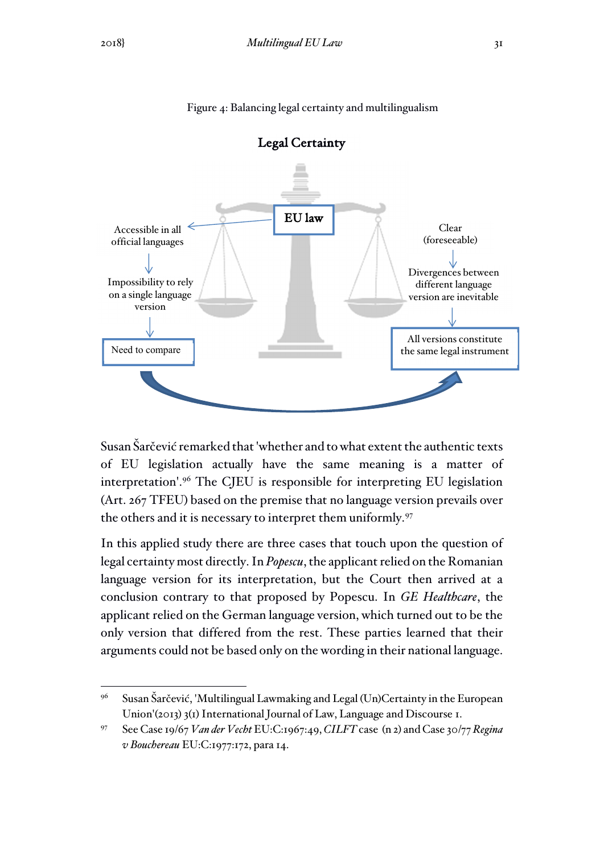$\overline{a}$ 



Legal Certainty

Susan Šarčević remarked that 'whether and to what extent the authentic texts of EU legislation actually have the same meaning is a matter of interpretation'.<sup>96</sup> The CJEU is responsible for interpreting EU legislation (Art. 267 TFEU) based on the premise that no language version prevails over the others and it is necessary to interpret them uniformly.<sup>97</sup>

In this applied study there are three cases that touch upon the question of legal certainty most directly. In *Popescu*, the applicant relied on the Romanian language version for its interpretation, but the Court then arrived at a conclusion contrary to that proposed by Popescu. In *GE Healthcare*, the applicant relied on the German language version, which turned out to be the only version that differed from the rest. These parties learned that their arguments could not be based only on the wording in their national language.

<sup>96</sup> Susan Šarčević, 'Multilingual Lawmaking and Legal (Un)Certainty in the European Union'(2013) 3(1) International Journal of Law, Language and Discourse 1.

<sup>97</sup> See Case 19/67 *Van der Vecht* EU:C:1967:49, *CILFT* case (n 2) and Case 30/77 *Regina v Bouchereau* EU:C:1977:172, para 14.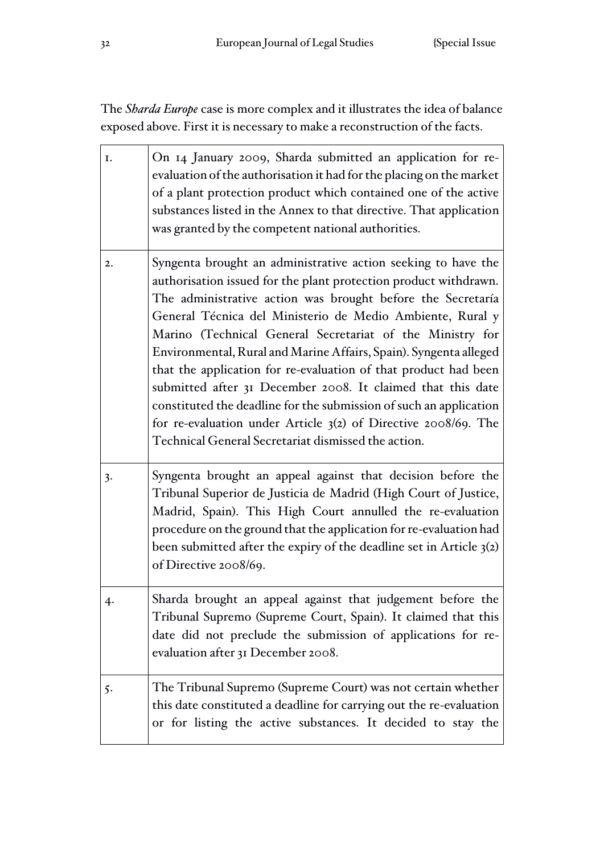The *Sharda Europe* case is more complex and it illustrates the idea of balance exposed above. First it is necessary to make a reconstruction of the facts.

| I. | On 14 January 2009, Sharda submitted an application for re-<br>evaluation of the authorisation it had for the placing on the market<br>of a plant protection product which contained one of the active<br>substances listed in the Annex to that directive. That application<br>was granted by the competent national authorities.                                                                                                                                                                                                                                                                                                                                                                                                 |
|----|------------------------------------------------------------------------------------------------------------------------------------------------------------------------------------------------------------------------------------------------------------------------------------------------------------------------------------------------------------------------------------------------------------------------------------------------------------------------------------------------------------------------------------------------------------------------------------------------------------------------------------------------------------------------------------------------------------------------------------|
| 2. | Syngenta brought an administrative action seeking to have the<br>authorisation issued for the plant protection product withdrawn.<br>The administrative action was brought before the Secretaría<br>General Técnica del Ministerio de Medio Ambiente, Rural y<br>Marino (Technical General Secretariat of the Ministry for<br>Environmental, Rural and Marine Affairs, Spain). Syngenta alleged<br>that the application for re-evaluation of that product had been<br>submitted after 31 December 2008. It claimed that this date<br>constituted the deadline for the submission of such an application<br>for re-evaluation under Article $3(2)$ of Directive 2008/69. The<br>Technical General Secretariat dismissed the action. |
| 3. | Syngenta brought an appeal against that decision before the<br>Tribunal Superior de Justicia de Madrid (High Court of Justice,<br>Madrid, Spain). This High Court annulled the re-evaluation<br>procedure on the ground that the application for re-evaluation had<br>been submitted after the expiry of the deadline set in Article $3(2)$<br>of Directive 2008/69.                                                                                                                                                                                                                                                                                                                                                               |
| 4. | Sharda brought an appeal against that judgement before the<br>Tribunal Supremo (Supreme Court, Spain). It claimed that this<br>date did not preclude the submission of applications for re-<br>evaluation after 31 December 2008.                                                                                                                                                                                                                                                                                                                                                                                                                                                                                                  |
| 5. | The Tribunal Supremo (Supreme Court) was not certain whether<br>this date constituted a deadline for carrying out the re-evaluation<br>or for listing the active substances. It decided to stay the                                                                                                                                                                                                                                                                                                                                                                                                                                                                                                                                |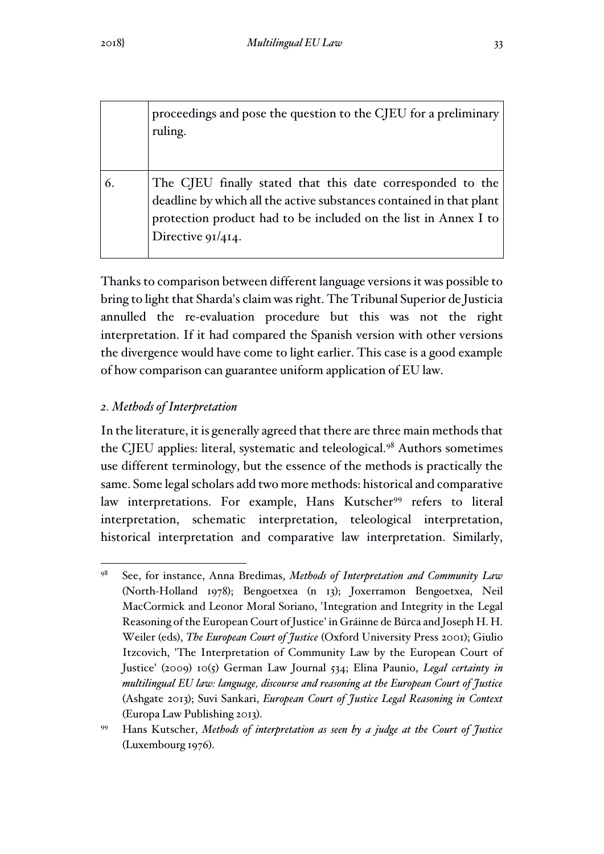|    | proceedings and pose the question to the CJEU for a preliminary<br>ruling.                                                                                                                                                   |
|----|------------------------------------------------------------------------------------------------------------------------------------------------------------------------------------------------------------------------------|
| 6. | The CJEU finally stated that this date corresponded to the<br>deadline by which all the active substances contained in that plant<br>protection product had to be included on the list in Annex I to<br>Directive $91/414$ . |

Thanks to comparison between different language versions it was possible to bring to light that Sharda's claim was right. The Tribunal Superior de Justicia annulled the re-evaluation procedure but this was not the right interpretation. If it had compared the Spanish version with other versions the divergence would have come to light earlier. This case is a good example of how comparison can guarantee uniform application of EU law.

# *2. Methods of Interpretation*

In the literature, it is generally agreed that there are three main methods that the CJEU applies: literal, systematic and teleological.<sup>98</sup> Authors sometimes use different terminology, but the essence of the methods is practically the same. Some legal scholars add two more methods: historical and comparative law interpretations. For example, Hans Kutscher<sup>99</sup> refers to literal interpretation, schematic interpretation, teleological interpretation, historical interpretation and comparative law interpretation. Similarly,

 $\overline{a}$ <sup>98</sup> See, for instance, Anna Bredimas, *Methods of Interpretation and Community Law* (North-Holland 1978); Bengoetxea (n 13); Joxerramon Bengoetxea, Neil MacCormick and Leonor Moral Soriano, 'Integration and Integrity in the Legal Reasoning of the European Court of Justice' in Gráinne de Búrca and Joseph H. H. Weiler (eds), *The European Court of Justice* (Oxford University Press 2001); Giulio Itzcovich, 'The Interpretation of Community Law by the European Court of Justice' (2009) 10(5) German Law Journal 534; Elina Paunio, *Legal certainty in multilingual EU law: language, discourse and reasoning at the European Court of Justice* (Ashgate 2013); Suvi Sankari, *European Court of Justice Legal Reasoning in Context* (Europa Law Publishing 2013).

<sup>99</sup> Hans Kutscher, *Methods of interpretation as seen by a judge at the Court of Justice* (Luxembourg 1976).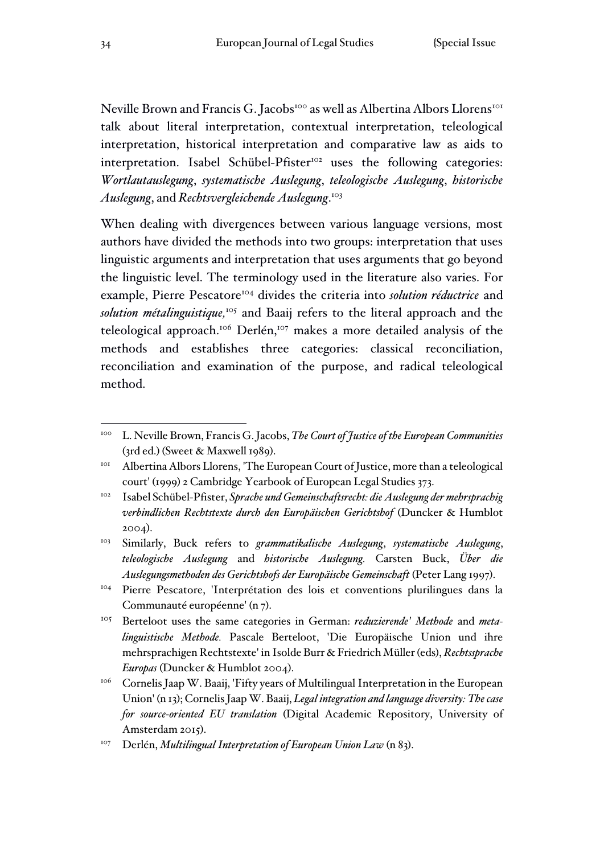Neville Brown and Francis G. Jacobs<sup>100</sup> as well as Albertina Albors Llorens<sup>101</sup> talk about literal interpretation, contextual interpretation, teleological interpretation, historical interpretation and comparative law as aids to interpretation. Isabel Schübel-Pfister<sup>102</sup> uses the following categories: *Wortlautauslegung*, *systematische Auslegung*, *teleologische Auslegung*, *historische Auslegung*, and *Rechtsvergleichende Auslegung*. 103

When dealing with divergences between various language versions, most authors have divided the methods into two groups: interpretation that uses linguistic arguments and interpretation that uses arguments that go beyond the linguistic level. The terminology used in the literature also varies. For example, Pierre Pescatore<sup>104</sup> divides the criteria into *solution réductrice* and *solution métalinguistique,*<sup>105</sup> and Baaij refers to the literal approach and the teleological approach.<sup>106</sup> Derlén,<sup>107</sup> makes a more detailed analysis of the methods and establishes three categories: classical reconciliation, reconciliation and examination of the purpose, and radical teleological method.

<sup>&</sup>lt;sup>100</sup> L. Neville Brown, Francis G. Jacobs, *The Court of Justice of the European Communities* (3rd ed.) (Sweet & Maxwell 1989).

<sup>&</sup>lt;sup>101</sup> Albertina Albors Llorens, 'The European Court of Justice, more than a teleological court' (1999) 2 Cambridge Yearbook of European Legal Studies 373.

<sup>102</sup> Isabel Schübel-Pfister, *Sprache und Gemeinschaftsrecht: die Auslegung der mehrsprachig verbindlichen Rechtstexte durch den Europäischen Gerichtshof* (Duncker & Humblot 2004).

<sup>103</sup> Similarly, Buck refers to *grammatikalische Auslegung*, *systematische Auslegung*, *teleologische Auslegung* and *historische Auslegung.* Carsten Buck, *Über die Auslegungsmethoden des Gerichtshofs der Europäische Gemeinschaft* (Peter Lang 1997).

<sup>&</sup>lt;sup>104</sup> Pierre Pescatore, 'Interprétation des lois et conventions plurilingues dans la Communauté européenne' (n 7).

<sup>105</sup> Berteloot uses the same categories in German: *reduzierende' Methode* and *metalinguistische Methode.* Pascale Berteloot, 'Die Europäische Union und ihre mehrsprachigen Rechtstexte' in Isolde Burr & Friedrich Müller (eds), *Rechtssprache Europas* (Duncker & Humblot 2004).

<sup>&</sup>lt;sup>106</sup> Cornelis Jaap W. Baaij, 'Fifty years of Multilingual Interpretation in the European Union' (n 13); Cornelis Jaap W. Baaij, *Legal integration and language diversity: The case for source-oriented EU translation* (Digital Academic Repository, University of Amsterdam 2015).

<sup>107</sup> Derlén, *Multilingual Interpretation of European Union Law* (n 83).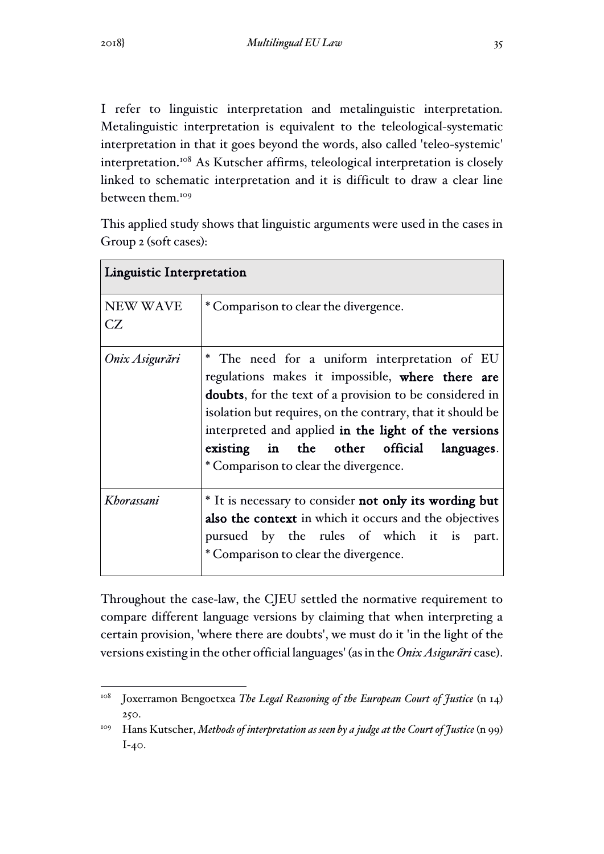$\overline{a}$ 

I refer to linguistic interpretation and metalinguistic interpretation. Metalinguistic interpretation is equivalent to the teleological-systematic interpretation in that it goes beyond the words, also called 'teleo-systemic' interpretation. 108 As Kutscher affirms, teleological interpretation is closely linked to schematic interpretation and it is difficult to draw a clear line between them.<sup>109</sup>

This applied study shows that linguistic arguments were used in the cases in Group 2 (soft cases):

| Linguistic Interpretation |                                                                                                                                                                                                                                                                                                                                                                                  |  |  |  |
|---------------------------|----------------------------------------------------------------------------------------------------------------------------------------------------------------------------------------------------------------------------------------------------------------------------------------------------------------------------------------------------------------------------------|--|--|--|
| <b>NEW WAVE</b><br>CZ     | * Comparison to clear the divergence.                                                                                                                                                                                                                                                                                                                                            |  |  |  |
| Onix Asigurări            | * The need for a uniform interpretation of EU<br>regulations makes it impossible, where there are<br><b>doubts</b> , for the text of a provision to be considered in<br>isolation but requires, on the contrary, that it should be<br>interpreted and applied in the light of the versions<br>existing in the other official languages.<br>* Comparison to clear the divergence. |  |  |  |
| Khorassani                | * It is necessary to consider not only its wording but<br>also the context in which it occurs and the objectives<br>pursued by the rules of which it is<br>part.<br>* Comparison to clear the divergence.                                                                                                                                                                        |  |  |  |

Throughout the case-law, the CJEU settled the normative requirement to compare different language versions by claiming that when interpreting a certain provision, 'where there are doubts', we must do it 'in the light of the versions existing in the other official languages' (as in the *Onix Asigurări* case).

<sup>108</sup> Joxerramon Bengoetxea *The Legal Reasoning of the European Court of Justice* (n 14) 250.

<sup>109</sup> Hans Kutscher, *Methods of interpretation as seen by a judge at the Court of Justice* (n 99) I-40.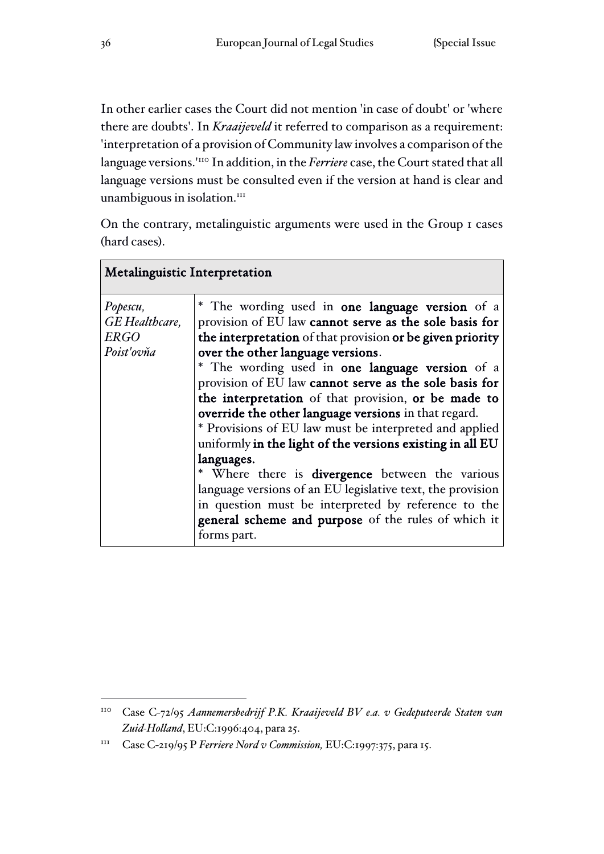In other earlier cases the Court did not mention 'in case of doubt' or 'where there are doubts'. In *Kraaijeveld* it referred to comparison as a requirement: 'interpretation of a provision of Community law involves a comparison of the language versions.'<sup>110</sup> In addition, in the *Ferriere* case, the Court stated that all language versions must be consulted even if the version at hand is clear and unambiguous in isolation.<sup>111</sup>

On the contrary, metalinguistic arguments were used in the Group 1 cases (hard cases).

| <b>Metalinguistic Interpretation</b>             |                                                                                                                                                                                                                                                                                                                                                                                                                                                                                                                                                                                                                                                                                                                                                                                                                            |  |  |  |
|--------------------------------------------------|----------------------------------------------------------------------------------------------------------------------------------------------------------------------------------------------------------------------------------------------------------------------------------------------------------------------------------------------------------------------------------------------------------------------------------------------------------------------------------------------------------------------------------------------------------------------------------------------------------------------------------------------------------------------------------------------------------------------------------------------------------------------------------------------------------------------------|--|--|--|
| Popescu,<br>GE Healthcare,<br>ERGO<br>Poist'ovňa | * The wording used in one language version of a<br>provision of EU law cannot serve as the sole basis for<br>the interpretation of that provision or be given priority<br>over the other language versions.<br>* The wording used in one language version of a<br>provision of EU law cannot serve as the sole basis for<br>the interpretation of that provision, or be made to<br>override the other language versions in that regard.<br>* Provisions of EU law must be interpreted and applied<br>uniformly in the light of the versions existing in all EU<br>languages.<br>* Where there is divergence between the various<br>language versions of an EU legislative text, the provision<br>in question must be interpreted by reference to the<br>general scheme and purpose of the rules of which it<br>forms part. |  |  |  |

<sup>110</sup> Case C-72/95 *Aannemersbedrijf P.K. Kraaijeveld BV e.a. v Gedeputeerde Staten van Zuid-Holland*, EU:C:1996:404, para 25.

<sup>111</sup> Case C-219/95 P *Ferriere Nord v Commission,* EU:C:1997:375, para 15.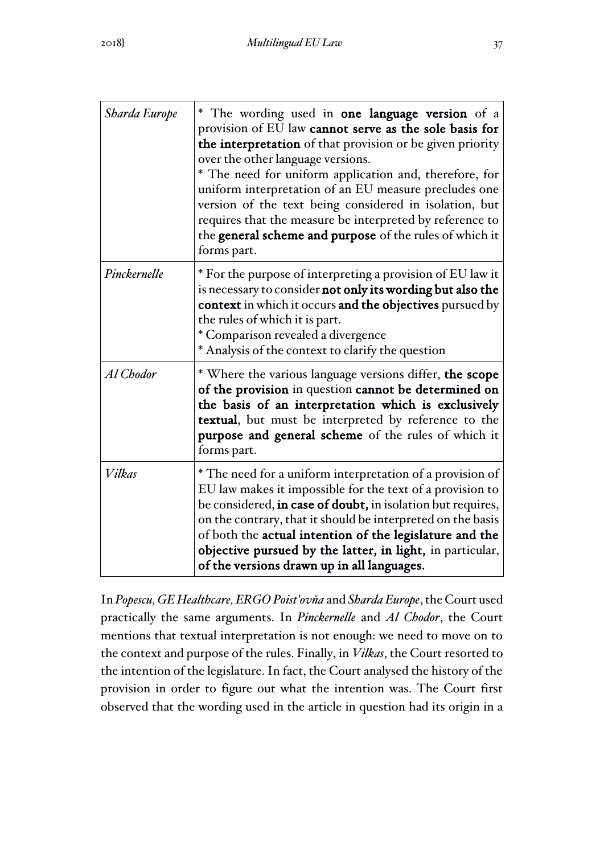Г

| Sharda Europe | * The wording used in one language version of a<br>provision of EU law cannot serve as the sole basis for<br>the interpretation of that provision or be given priority<br>over the other language versions.<br>* The need for uniform application and, therefore, for<br>uniform interpretation of an EU measure precludes one<br>version of the text being considered in isolation, but<br>requires that the measure be interpreted by reference to<br>the general scheme and purpose of the rules of which it<br>forms part. |
|---------------|--------------------------------------------------------------------------------------------------------------------------------------------------------------------------------------------------------------------------------------------------------------------------------------------------------------------------------------------------------------------------------------------------------------------------------------------------------------------------------------------------------------------------------|
| Pinckernelle  | * For the purpose of interpreting a provision of EU law it<br>is necessary to consider not only its wording but also the<br>context in which it occurs and the objectives pursued by<br>the rules of which it is part.<br>* Comparison revealed a divergence<br>* Analysis of the context to clarify the question                                                                                                                                                                                                              |
| Al Chodor     | * Where the various language versions differ, the scope<br>of the provision in question cannot be determined on<br>the basis of an interpretation which is exclusively<br>textual, but must be interpreted by reference to the<br>purpose and general scheme of the rules of which it<br>forms part.                                                                                                                                                                                                                           |
| Vilkas        | * The need for a uniform interpretation of a provision of<br>EU law makes it impossible for the text of a provision to<br>be considered, in case of doubt, in isolation but requires,<br>on the contrary, that it should be interpreted on the basis<br>of both the actual intention of the legislature and the<br>objective pursued by the latter, in light, in particular,<br>of the versions drawn up in all languages.                                                                                                     |

In *Popescu, GE Healthcare, ERGO Poist'ovňa* and *Sharda Europe*, the Court used practically the same arguments. In *Pinckernelle* and *Al Chodor*, the Court mentions that textual interpretation is not enough: we need to move on to the context and purpose of the rules. Finally, in *Vilkas*, the Court resorted to the intention of the legislature. In fact, the Court analysed the history of the provision in order to figure out what the intention was. The Court first observed that the wording used in the article in question had its origin in a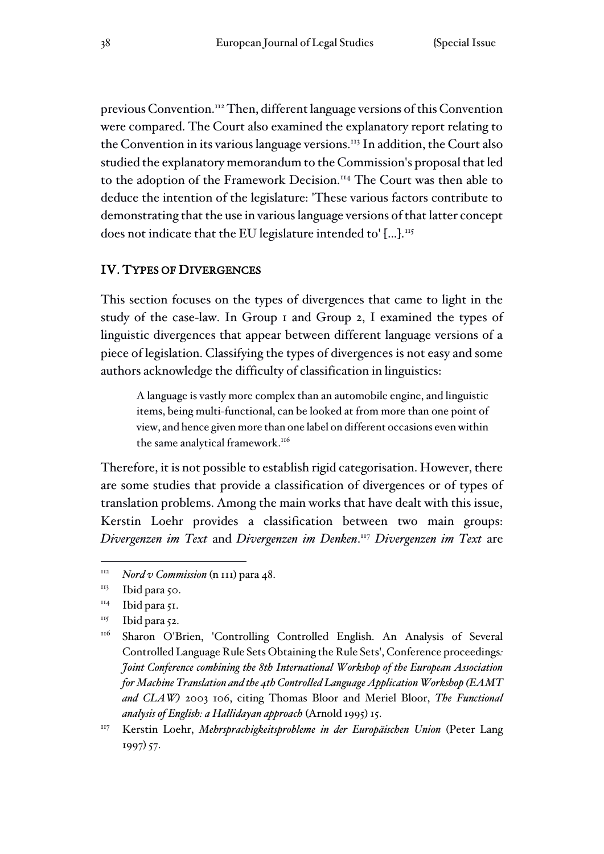previous Convention.<sup>112</sup> Then, different language versions of this Convention were compared. The Court also examined the explanatory report relating to the Convention in its various language versions.<sup>113</sup> In addition, the Court also studied the explanatory memorandum to the Commission's proposal that led to the adoption of the Framework Decision.<sup>114</sup> The Court was then able to deduce the intention of the legislature: 'These various factors contribute to demonstrating that the use in various language versions of that latter concept does not indicate that the EU legislature intended to' [...].<sup>115</sup>

### IV. TYPES OF DIVERGENCES

This section focuses on the types of divergences that came to light in the study of the case-law. In Group 1 and Group 2, I examined the types of linguistic divergences that appear between different language versions of a piece of legislation. Classifying the types of divergences is not easy and some authors acknowledge the difficulty of classification in linguistics:

A language is vastly more complex than an automobile engine, and linguistic items, being multi-functional, can be looked at from more than one point of view, and hence given more than one label on different occasions even within the same analytical framework.<sup>116</sup>

Therefore, it is not possible to establish rigid categorisation. However, there are some studies that provide a classification of divergences or of types of translation problems. Among the main works that have dealt with this issue, Kerstin Loehr provides a classification between two main groups: *Divergenzen im Text* and *Divergenzen im Denken*. <sup>117</sup> *Divergenzen im Text* are

<sup>112</sup> *Nord v Commission* (n 111) para 48.

<sup>&</sup>lt;sup>113</sup> Ibid para 50.

 $114$  Ibid para 51.

 $115$  Ibid para 52.

<sup>&</sup>lt;sup>116</sup> Sharon O'Brien, 'Controlling Controlled English. An Analysis of Several Controlled Language Rule Sets Obtaining the Rule Sets', Conference proceedings*: Joint Conference combining the 8th International Workshop of the European Association for Machine Translation and the 4th Controlled Language Application Workshop (EAMT and CLAW)* 2003 106, citing Thomas Bloor and Meriel Bloor, *The Functional analysis of English: a Hallidayan approach* (Arnold 1995) 15.

<sup>117</sup> Kerstin Loehr, *Mehrsprachigkeitsprobleme in der Europäischen Union* (Peter Lang 1997) 57.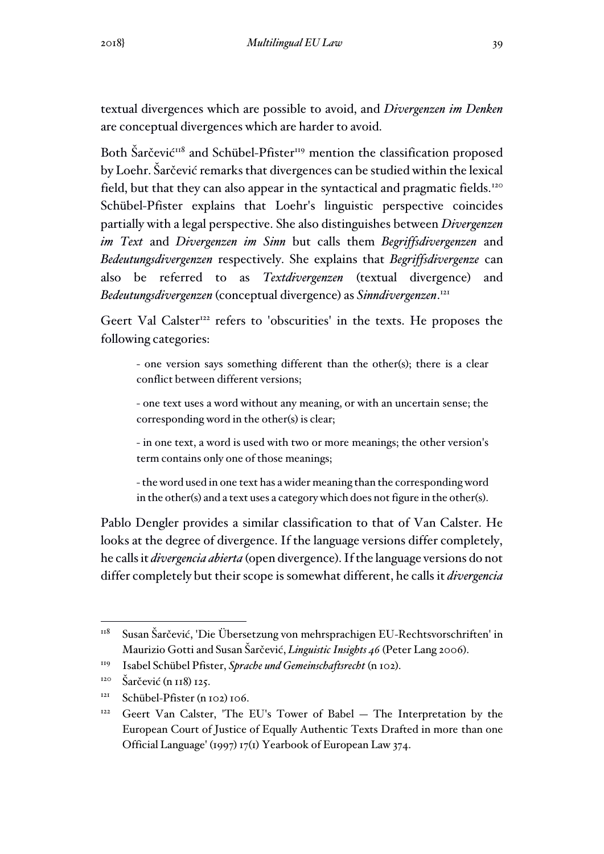textual divergences which are possible to avoid, and *Divergenzen im Denken*  are conceptual divergences which are harder to avoid.

Both Šarčević<sup>118</sup> and Schübel-Pfister<sup>119</sup> mention the classification proposed by Loehr. Šarčević remarks that divergences can be studied within the lexical field, but that they can also appear in the syntactical and pragmatic fields.<sup>120</sup> Schübel-Pfister explains that Loehr's linguistic perspective coincides partially with a legal perspective. She also distinguishes between *Divergenzen im Text* and *Divergenzen im Sinn* but calls them *Begriffsdivergenzen* and *Bedeutungsdivergenzen* respectively. She explains that *Begriffsdivergenze* can also be referred to as *Textdivergenzen* (textual divergence) and *Bedeutungsdivergenzen* (conceptual divergence) as *Sinndivergenzen*. 121

Geert Val Calster<sup>122</sup> refers to 'obscurities' in the texts. He proposes the following categories:

- one version says something different than the other(s); there is a clear conflict between different versions;

- one text uses a word without any meaning, or with an uncertain sense; the corresponding word in the other(s) is clear;

- in one text, a word is used with two or more meanings; the other version's term contains only one of those meanings;

-the word used in one text has a wider meaning than the corresponding word in the other(s) and a text uses a category which does not figure in the other(s).

Pablo Dengler provides a similar classification to that of Van Calster. He looks at the degree of divergence. If the language versions differ completely, he calls it *divergencia abierta* (open divergence). If the language versions do not differ completely but their scope is somewhat different, he calls it *divergencia* 

<sup>118</sup> Susan Šarčević, 'Die Übersetzung von mehrsprachigen EU-Rechtsvorschriften' in Maurizio Gotti and Susan Šarčević, *Linguistic Insights 46* (Peter Lang 2006).

<sup>119</sup> Isabel Schübel Pfister, *Sprache und Gemeinschaftsrecht* (n 102).

 $120$  Šarčević (n 118) 125.

 $121$  Schübel-Pfister (n 102) 106.

<sup>122</sup> Geert Van Calster, 'The EU's Tower of Babel — The Interpretation by the European Court of Justice of Equally Authentic Texts Drafted in more than one Official Language' (1997) 17(1) Yearbook of European Law 374.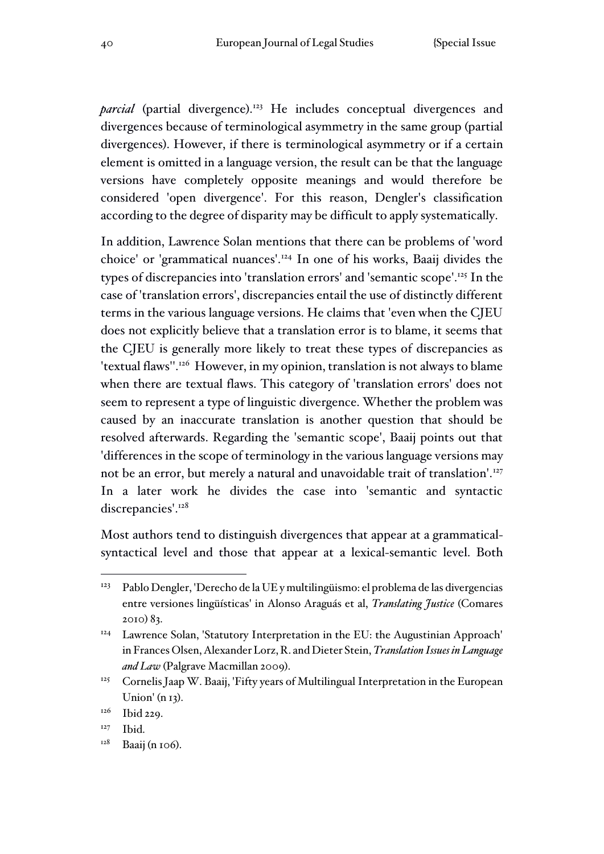*parcial* (partial divergence).<sup>123</sup> He includes conceptual divergences and divergences because of terminological asymmetry in the same group (partial divergences). However, if there is terminological asymmetry or if a certain element is omitted in a language version, the result can be that the language versions have completely opposite meanings and would therefore be considered 'open divergence'. For this reason, Dengler's classification according to the degree of disparity may be difficult to apply systematically.

In addition, Lawrence Solan mentions that there can be problems of 'word choice' or 'grammatical nuances'.<sup>124</sup> In one of his works, Baaij divides the types of discrepancies into 'translation errors' and 'semantic scope'.<sup>125</sup> In the case of 'translation errors', discrepancies entail the use of distinctly different terms in the various language versions. He claims that 'even when the CJEU does not explicitly believe that a translation error is to blame, it seems that the CJEU is generally more likely to treat these types of discrepancies as 'textual flaws''.<sup>126</sup> However, in my opinion, translation is not always to blame when there are textual flaws. This category of 'translation errors' does not seem to represent a type of linguistic divergence. Whether the problem was caused by an inaccurate translation is another question that should be resolved afterwards. Regarding the 'semantic scope', Baaij points out that 'differences in the scope of terminology in the various language versions may not be an error, but merely a natural and unavoidable trait of translation'.<sup>127</sup> In a later work he divides the case into 'semantic and syntactic discrepancies'.<sup>128</sup>

Most authors tend to distinguish divergences that appear at a grammaticalsyntactical level and those that appear at a lexical-semantic level. Both

<sup>123</sup> Pablo Dengler, 'Derecho de la UE y multilingüismo: el problema de las divergencias entre versiones lingüísticas' in Alonso Araguás et al, *Translating Justice* (Comares 2010) 83.

<sup>124</sup> Lawrence Solan, 'Statutory Interpretation in the EU: the Augustinian Approach' in Frances Olsen, Alexander Lorz, R. and Dieter Stein, *Translation Issues in Language and Law* (Palgrave Macmillan 2009).

 $125$  Cornelis Jaap W. Baaij, 'Fifty years of Multilingual Interpretation in the European Union' (n 13).

<sup>126</sup> Ibid 229.

 $127$  Ibid.

 $128$  Baaij (n 106).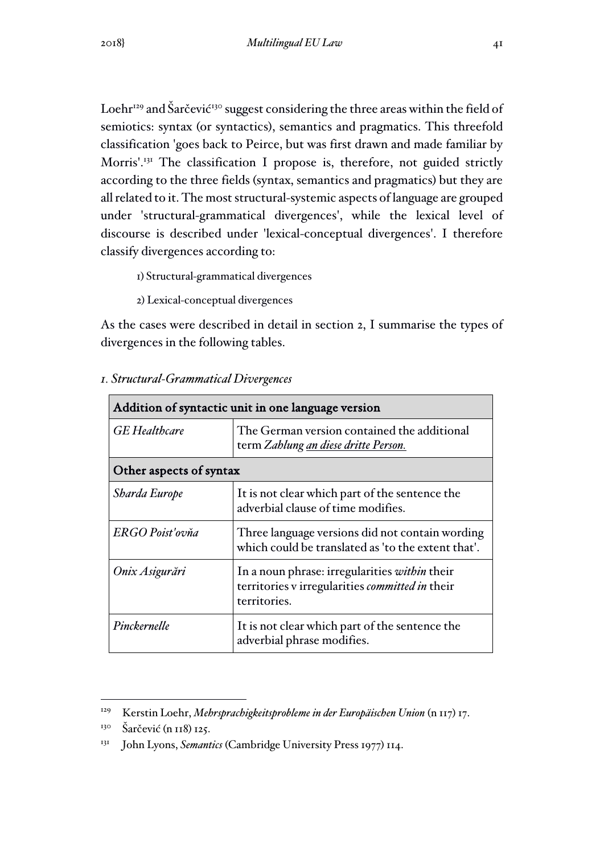Loehr<sup>129</sup> and Šarčević<sup>130</sup> suggest considering the three areas within the field of semiotics: syntax (or syntactics), semantics and pragmatics. This threefold classification 'goes back to Peirce, but was first drawn and made familiar by Morris'.<sup>131</sup> The classification I propose is, therefore, not guided strictly according to the three fields (syntax, semantics and pragmatics) but they are all related to it. The most structural-systemic aspects of language are grouped under 'structural-grammatical divergences', while the lexical level of discourse is described under 'lexical-conceptual divergences'. I therefore classify divergences according to:

1) Structural-grammatical divergences

2) Lexical-conceptual divergences

As the cases were described in detail in section 2, I summarise the types of divergences in the following tables.

| Addition of syntactic unit in one language version |                                                                                                                  |  |
|----------------------------------------------------|------------------------------------------------------------------------------------------------------------------|--|
| <b>GE</b> Healthcare                               | The German version contained the additional<br>term Zahlung <u>an diese dritte Person.</u>                       |  |
| Other aspects of syntax                            |                                                                                                                  |  |
| Sharda Europe                                      | It is not clear which part of the sentence the<br>adverbial clause of time modifies.                             |  |
| <b>ERGO</b> Poist'ovňa                             | Three language versions did not contain wording<br>which could be translated as 'to the extent that'.            |  |
| Onix Asigurări                                     | In a noun phrase: irregularities within their<br>territories v irregularities committed in their<br>territories. |  |
| Pinckernelle                                       | It is not clear which part of the sentence the<br>adverbial phrase modifies.                                     |  |

### *1. Structural-Grammatical Divergences*

<sup>129</sup> Kerstin Loehr, *Mehrsprachigkeitsprobleme in der Europäischen Union* (n 117) 17.

 $130$  Sarčević (n 118) 125.

<sup>&</sup>lt;sup>131</sup> John Lyons, *Semantics* (Cambridge University Press 1977) 114.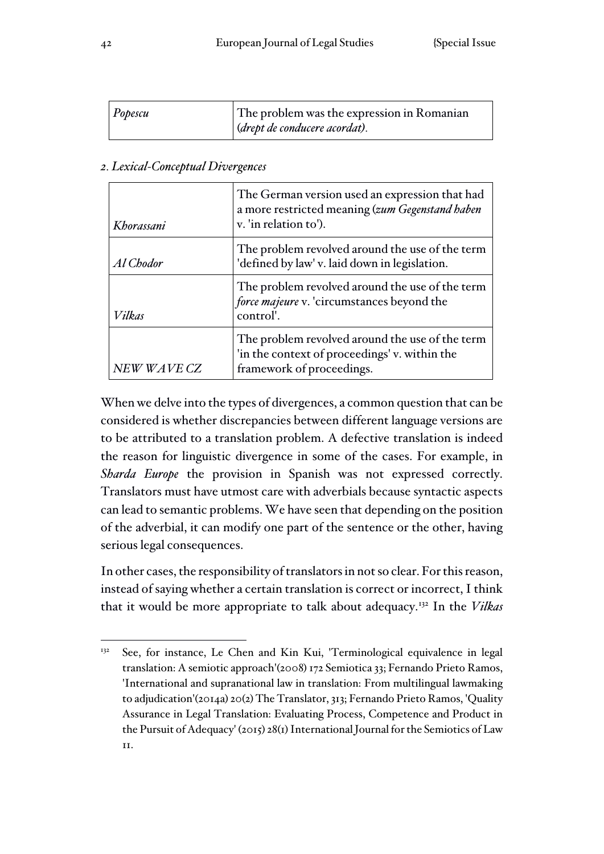| Popescu | The problem was the expression in Romanian |
|---------|--------------------------------------------|
|         | $\vert$ (drept de conducere acordat).      |

### *2. Lexical-Conceptual Divergences*

| Khorassani  | The German version used an expression that had<br>a more restricted meaning (zum Gegenstand haben<br>v. 'in relation to').    |
|-------------|-------------------------------------------------------------------------------------------------------------------------------|
| Al Chodor   | The problem revolved around the use of the term<br>'defined by law' v. laid down in legislation.                              |
| Vilkas      | The problem revolved around the use of the term<br>force majeure v. 'circumstances beyond the<br>control'.                    |
| NEW WAVE CZ | The problem revolved around the use of the term<br>'in the context of proceedings' v. within the<br>framework of proceedings. |

When we delve into the types of divergences, a common question that can be considered is whether discrepancies between different language versions are to be attributed to a translation problem. A defective translation is indeed the reason for linguistic divergence in some of the cases. For example, in *Sharda Europe* the provision in Spanish was not expressed correctly. Translators must have utmost care with adverbials because syntactic aspects can lead to semantic problems. We have seen that depending on the position of the adverbial, it can modify one part of the sentence or the other, having serious legal consequences.

In other cases, the responsibility of translators in not so clear. For this reason, instead of saying whether a certain translation is correct or incorrect, I think that it would be more appropriate to talk about adequacy.<sup>132</sup> In the *Vilkas*

<sup>&</sup>lt;sup>132</sup> See, for instance, Le Chen and Kin Kui, 'Terminological equivalence in legal translation: A semiotic approach'(2008) 172 Semiotica 33; Fernando Prieto Ramos, 'International and supranational law in translation: From multilingual lawmaking to adjudication'(2014a) 20(2) The Translator, 313; Fernando Prieto Ramos, 'Quality Assurance in Legal Translation: Evaluating Process, Competence and Product in the Pursuit of Adequacy' (2015) 28(1) International Journal for the Semiotics of Law 11.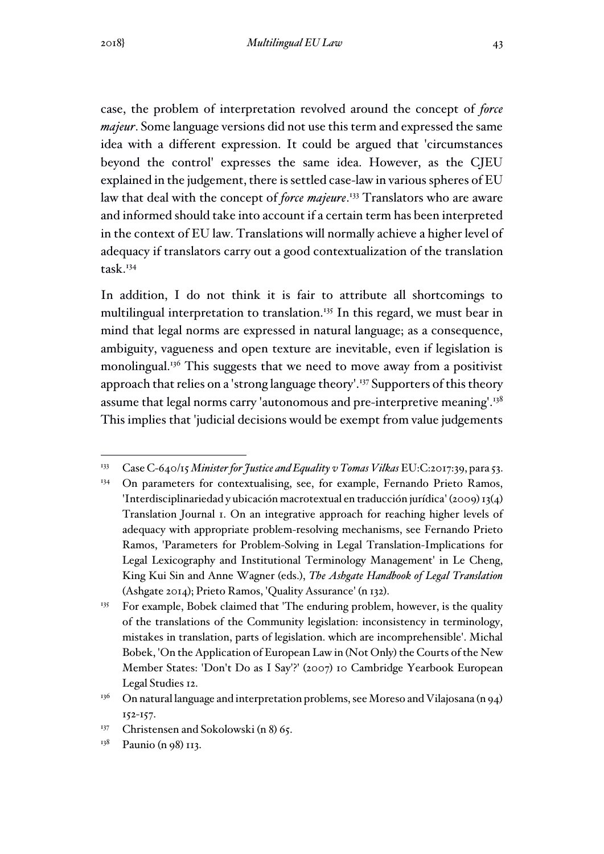case, the problem of interpretation revolved around the concept of *force majeur*. Some language versions did not use this term and expressed the same idea with a different expression. It could be argued that 'circumstances beyond the control' expresses the same idea. However, as the CJEU explained in the judgement, there is settled case-law in various spheres of EU law that deal with the concept of *force majeure*. <sup>133</sup> Translators who are aware and informed should take into account if a certain term has been interpreted in the context of EU law. Translations will normally achieve a higher level of adequacy if translators carry out a good contextualization of the translation task. $134$ 

In addition, I do not think it is fair to attribute all shortcomings to multilingual interpretation to translation.<sup>135</sup> In this regard, we must bear in mind that legal norms are expressed in natural language; as a consequence, ambiguity, vagueness and open texture are inevitable, even if legislation is monolingual.<sup>136</sup> This suggests that we need to move away from a positivist approach that relies on a 'strong language theory'.<sup>137</sup> Supporters of this theory assume that legal norms carry 'autonomous and pre-interpretive meaning'.<sup>138</sup> This implies that 'judicial decisions would be exempt from value judgements

 $\overline{a}$ <sup>133</sup> Case C-640/15 *Minister for Justice and Equality v Tomas Vilkas* EU:C:2017:39, para 53.

<sup>&</sup>lt;sup>134</sup> On parameters for contextualising, see, for example, Fernando Prieto Ramos, 'Interdisciplinariedad y ubicación macrotextual en traducción jurídica' (2009) 13(4) Translation Journal 1. On an integrative approach for reaching higher levels of adequacy with appropriate problem-resolving mechanisms, see Fernando Prieto Ramos, 'Parameters for Problem-Solving in Legal Translation-Implications for Legal Lexicography and Institutional Terminology Management' in Le Cheng, King Kui Sin and Anne Wagner (eds.), *The Ashgate Handbook of Legal Translation*  (Ashgate 2014); Prieto Ramos, 'Quality Assurance' (n 132).

<sup>&</sup>lt;sup>135</sup> For example, Bobek claimed that 'The enduring problem, however, is the quality of the translations of the Community legislation: inconsistency in terminology, mistakes in translation, parts of legislation. which are incomprehensible'. Michal Bobek, 'On the Application of European Law in (Not Only) the Courts of the New Member States: 'Don't Do as I Say'?' (2007) 10 Cambridge Yearbook European Legal Studies 12.

<sup>&</sup>lt;sup>136</sup> On natural language and interpretation problems, see Moreso and Vilajosana (n 94) 152-157.

<sup>&</sup>lt;sup>137</sup> Christensen and Sokolowski (n 8) 65.

 $138$  Paunio (n 98) 113.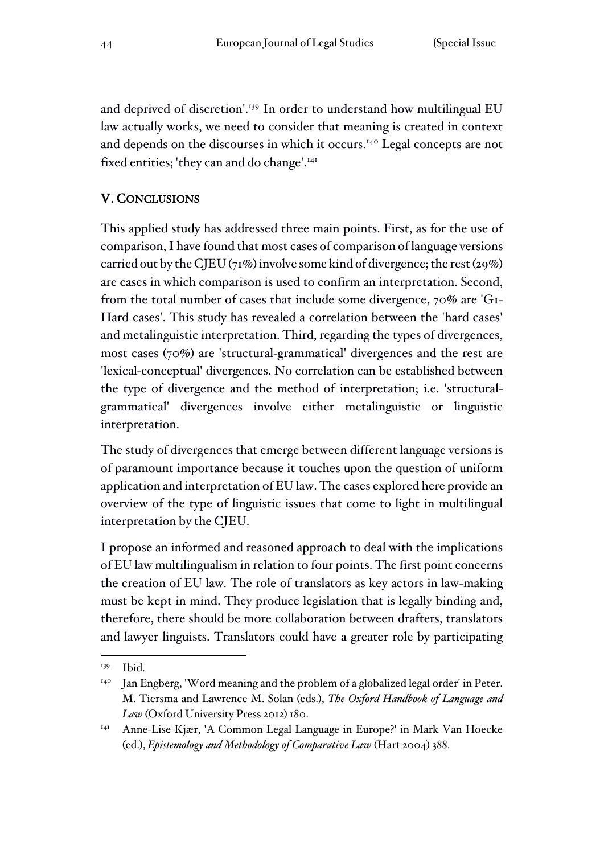and deprived of discretion'.<sup>139</sup> In order to understand how multilingual EU law actually works, we need to consider that meaning is created in context and depends on the discourses in which it occurs.<sup>140</sup> Legal concepts are not fixed entities; 'they can and do change'.<sup>141</sup>

### V. CONCLUSIONS

This applied study has addressed three main points. First, as for the use of comparison, I have found that most cases of comparison of language versions carried out by the CJEU ( $71\%$ ) involve some kind of divergence; the rest (29%) are cases in which comparison is used to confirm an interpretation. Second, from the total number of cases that include some divergence, 70% are 'G1- Hard cases'. This study has revealed a correlation between the 'hard cases' and metalinguistic interpretation. Third, regarding the types of divergences, most cases (70%) are 'structural-grammatical' divergences and the rest are 'lexical-conceptual' divergences. No correlation can be established between the type of divergence and the method of interpretation; i.e. 'structuralgrammatical' divergences involve either metalinguistic or linguistic interpretation.

The study of divergences that emerge between different language versions is of paramount importance because it touches upon the question of uniform application and interpretation of EU law. The cases explored here provide an overview of the type of linguistic issues that come to light in multilingual interpretation by the CJEU.

I propose an informed and reasoned approach to deal with the implications of EU law multilingualism in relation to four points. The first point concerns the creation of EU law. The role of translators as key actors in law-making must be kept in mind. They produce legislation that is legally binding and, therefore, there should be more collaboration between drafters, translators and lawyer linguists. Translators could have a greater role by participating

<sup>&</sup>lt;sup>139</sup> Ibid.

<sup>&</sup>lt;sup>140</sup> Jan Engberg, 'Word meaning and the problem of a globalized legal order' in Peter. M. Tiersma and Lawrence M. Solan (eds.), *The Oxford Handbook of Language and Law* (Oxford University Press 2012) 180.

<sup>141</sup> Anne-Lise Kjær, 'A Common Legal Language in Europe?' in Mark Van Hoecke (ed.), *Epistemology and Methodology of Comparative Law* (Hart 2004) 388.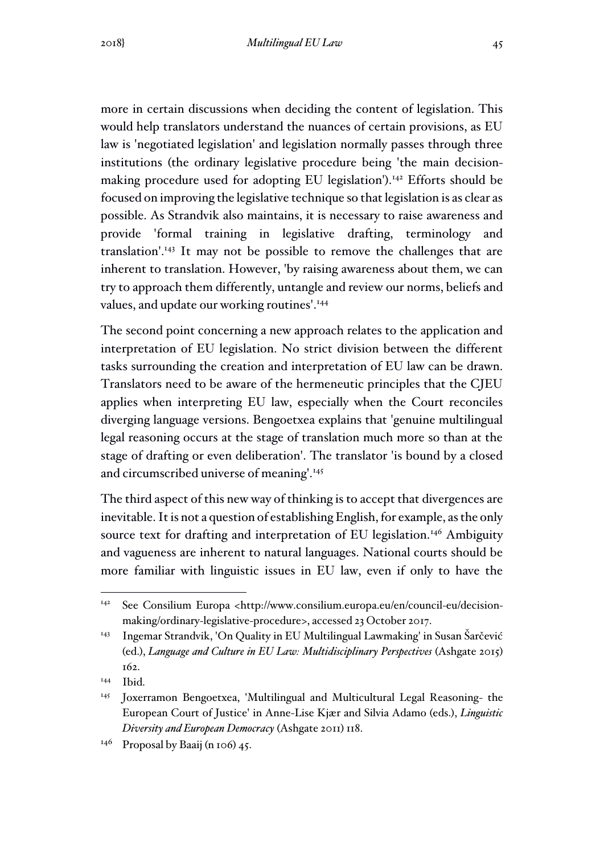more in certain discussions when deciding the content of legislation. This would help translators understand the nuances of certain provisions, as EU law is 'negotiated legislation' and legislation normally passes through three institutions (the ordinary legislative procedure being 'the main decisionmaking procedure used for adopting EU legislation').<sup>142</sup> Efforts should be focused on improving the legislative technique so that legislation is as clear as possible. As Strandvik also maintains, it is necessary to raise awareness and provide 'formal training in legislative drafting, terminology and translation'.<sup>143</sup> It may not be possible to remove the challenges that are inherent to translation. However, 'by raising awareness about them, we can try to approach them differently, untangle and review our norms, beliefs and values, and update our working routines'.<sup>144</sup>

The second point concerning a new approach relates to the application and interpretation of EU legislation. No strict division between the different tasks surrounding the creation and interpretation of EU law can be drawn. Translators need to be aware of the hermeneutic principles that the CJEU applies when interpreting EU law, especially when the Court reconciles diverging language versions. Bengoetxea explains that 'genuine multilingual legal reasoning occurs at the stage of translation much more so than at the stage of drafting or even deliberation'. The translator 'is bound by a closed and circumscribed universe of meaning'.<sup>145</sup>

The third aspect of this new way of thinking is to accept that divergences are inevitable. It is not a question of establishing English, for example, as the only source text for drafting and interpretation of EU legislation.<sup>146</sup> Ambiguity and vagueness are inherent to natural languages. National courts should be more familiar with linguistic issues in EU law, even if only to have the

<sup>142</sup> See Consilium Europa <http://www.consilium.europa.eu/en/council-eu/decisionmaking/ordinary-legislative-procedure>, accessed 23 October 2017.

<sup>&</sup>lt;sup>143</sup> Ingemar Strandvik, 'On Quality in EU Multilingual Lawmaking' in Susan Šarčević (ed.), *Language and Culture in EU Law: Multidisciplinary Perspectives* (Ashgate 2015) 162.

<sup>144</sup> Ibid.

<sup>145</sup> Joxerramon Bengoetxea, 'Multilingual and Multicultural Legal Reasoning- the European Court of Justice' in Anne-Lise Kjær and Silvia Adamo (eds.), *Linguistic Diversity and European Democracy* (Ashgate 2011) 118.

 $146$  Proposal by Baaij (n 106) 45.